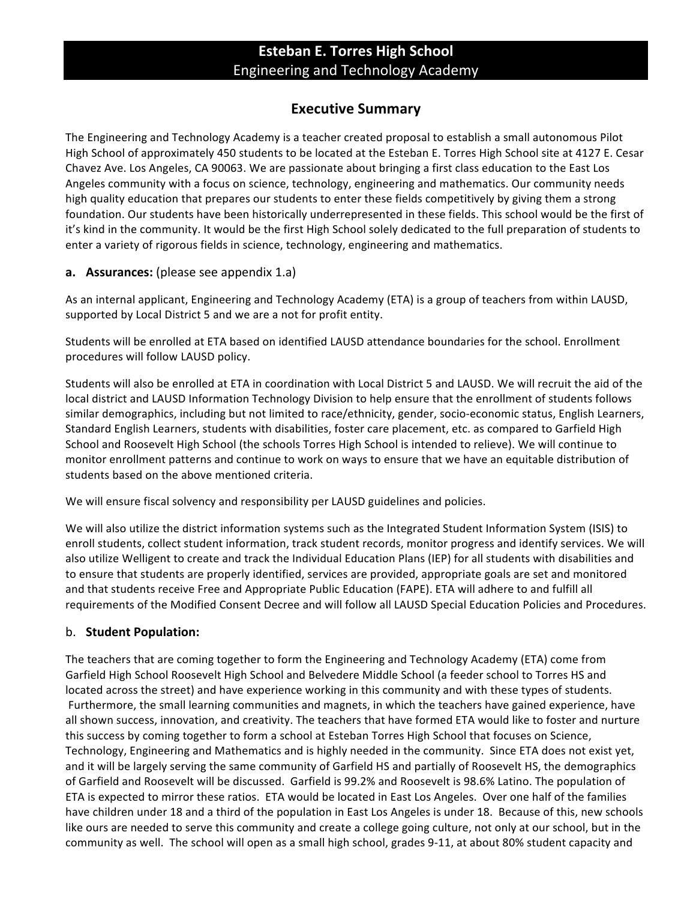# **Esteban E. Torres High School** Engineering!and!Technology!Academy

# **Executive Summary**

The Engineering and Technology Academy is a teacher created proposal to establish a small autonomous Pilot High School of approximately 450 students to be located at the Esteban E. Torres High School site at 4127 E. Cesar Chavez Ave. Los Angeles, CA 90063. We are passionate about bringing a first class education to the East Los Angeles community with a focus on science, technology, engineering and mathematics. Our community needs high quality education that prepares our students to enter these fields competitively by giving them a strong foundation. Our students have been historically underrepresented in these fields. This school would be the first of it's kind in the community. It would be the first High School solely dedicated to the full preparation of students to enter a variety of rigorous fields in science, technology, engineering and mathematics.

### **a. Assurances:** (please see appendix 1.a)

As an internal applicant, Engineering and Technology Academy (ETA) is a group of teachers from within LAUSD, supported by Local District 5 and we are a not for profit entity.

Students will be enrolled at ETA based on identified LAUSD attendance boundaries for the school. Enrollment procedures will follow LAUSD policy.

Students will also be enrolled at ETA in coordination with Local District 5 and LAUSD. We will recruit the aid of the local district and LAUSD Information Technology Division to help ensure that the enrollment of students follows similar demographics, including but not limited to race/ethnicity, gender, socio-economic status, English Learners, Standard English Learners, students with disabilities, foster care placement, etc. as compared to Garfield High School and Roosevelt High School (the schools Torres High School is intended to relieve). We will continue to monitor enrollment patterns and continue to work on ways to ensure that we have an equitable distribution of students based on the above mentioned criteria.

We will ensure fiscal solvency and responsibility per LAUSD guidelines and policies.

We will also utilize the district information systems such as the Integrated Student Information System (ISIS) to enroll students, collect student information, track student records, monitor progress and identify services. We will also utilize Welligent to create and track the Individual Education Plans (IEP) for all students with disabilities and to ensure that students are properly identified, services are provided, appropriate goals are set and monitored and that students receive Free and Appropriate Public Education (FAPE). ETA will adhere to and fulfill all requirements of the Modified Consent Decree and will follow all LAUSD Special Education Policies and Procedures.

### b. **Student Population:**

The teachers that are coming together to form the Engineering and Technology Academy (ETA) come from Garfield High School Roosevelt High School and Belvedere Middle School (a feeder school to Torres HS and located across the street) and have experience working in this community and with these types of students. Furthermore, the small learning communities and magnets, in which the teachers have gained experience, have all shown success, innovation, and creativity. The teachers that have formed ETA would like to foster and nurture this success by coming together to form a school at Esteban Torres High School that focuses on Science, Technology, Engineering and Mathematics and is highly needed in the community. Since ETA does not exist yet, and it will be largely serving the same community of Garfield HS and partially of Roosevelt HS, the demographics of Garfield and Roosevelt will be discussed. Garfield is 99.2% and Roosevelt is 98.6% Latino. The population of ETA is expected to mirror these ratios. ETA would be located in East Los Angeles. Over one half of the families have children under 18 and a third of the population in East Los Angeles is under 18. Because of this, new schools like ours are needed to serve this community and create a college going culture, not only at our school, but in the community as well. The school will open as a small high school, grades 9-11, at about 80% student capacity and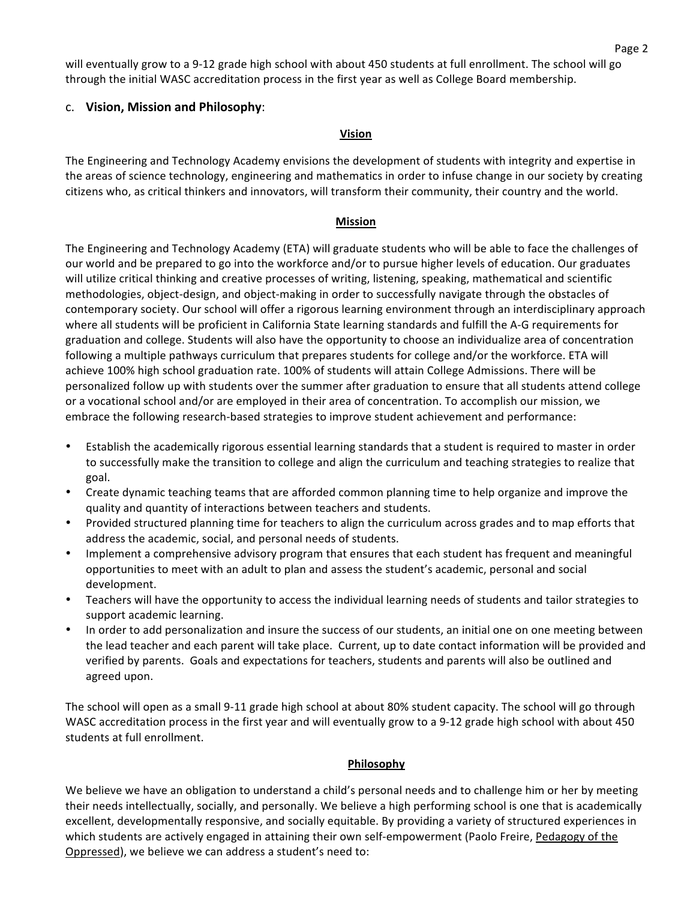will eventually grow to a 9-12 grade high school with about 450 students at full enrollment. The school will go through the initial WASC accreditation process in the first year as well as College Board membership.

#### c. Vision, Mission and Philosophy:

#### **Vision**

The Engineering and Technology Academy envisions the development of students with integrity and expertise in the areas of science technology, engineering and mathematics in order to infuse change in our society by creating citizens who, as critical thinkers and innovators, will transform their community, their country and the world.

#### **Mission**

The Engineering and Technology Academy (ETA) will graduate students who will be able to face the challenges of our world and be prepared to go into the workforce and/or to pursue higher levels of education. Our graduates will utilize critical thinking and creative processes of writing, listening, speaking, mathematical and scientific methodologies, object-design, and object-making in order to successfully navigate through the obstacles of contemporary society. Our school will offer a rigorous learning environment through an interdisciplinary approach where all students will be proficient in California State learning standards and fulfill the A-G requirements for graduation and college. Students will also have the opportunity to choose an individualize area of concentration following a multiple pathways curriculum that prepares students for college and/or the workforce. ETA will achieve 100% high school graduation rate. 100% of students will attain College Admissions. There will be personalized follow up with students over the summer after graduation to ensure that all students attend college or a vocational school and/or are employed in their area of concentration. To accomplish our mission, we embrace the following research-based strategies to improve student achievement and performance:

- Establish the academically rigorous essential learning standards that a student is required to master in order to successfully make the transition to college and align the curriculum and teaching strategies to realize that goal.
- Create dynamic teaching teams that are afforded common planning time to help organize and improve the quality and quantity of interactions between teachers and students.
- Provided structured planning time for teachers to align the curriculum across grades and to map efforts that address the academic, social, and personal needs of students.
- Implement a comprehensive advisory program that ensures that each student has frequent and meaningful opportunities to meet with an adult to plan and assess the student's academic, personal and social development.
- Teachers will have the opportunity to access the individual learning needs of students and tailor strategies to support academic learning.
- In order to add personalization and insure the success of our students, an initial one on one meeting between the lead teacher and each parent will take place. Current, up to date contact information will be provided and verified by parents. Goals and expectations for teachers, students and parents will also be outlined and agreed upon.

The school will open as a small 9-11 grade high school at about 80% student capacity. The school will go through WASC accreditation process in the first year and will eventually grow to a 9-12 grade high school with about 450 students at full enrollment.

#### **Philosophy**

We believe we have an obligation to understand a child's personal needs and to challenge him or her by meeting their needs intellectually, socially, and personally. We believe a high performing school is one that is academically excellent, developmentally responsive, and socially equitable. By providing a variety of structured experiences in which students are actively engaged in attaining their own self-empowerment (Paolo Freire, Pedagogy of the Oppressed), we believe we can address a student's need to: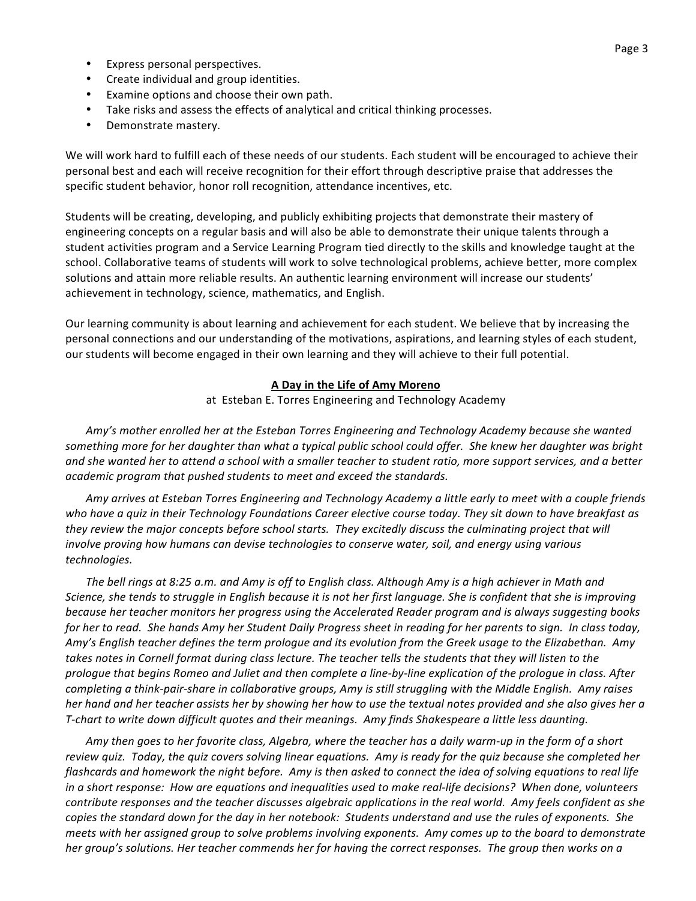- Express personal perspectives.
- Create individual and group identities.
- Examine options and choose their own path.
- Take risks and assess the effects of analytical and critical thinking processes.
- Demonstrate mastery.

We will work hard to fulfill each of these needs of our students. Each student will be encouraged to achieve their personal best and each will receive recognition for their effort through descriptive praise that addresses the specific student behavior, honor roll recognition, attendance incentives, etc.

Students will be creating, developing, and publicly exhibiting projects that demonstrate their mastery of engineering concepts on a regular basis and will also be able to demonstrate their unique talents through a student activities program and a Service Learning Program tied directly to the skills and knowledge taught at the school. Collaborative teams of students will work to solve technological problems, achieve better, more complex solutions and attain more reliable results. An authentic learning environment will increase our students' achievement in technology, science, mathematics, and English.

Our learning community is about learning and achievement for each student. We believe that by increasing the personal connections and our understanding of the motivations, aspirations, and learning styles of each student, our students will become engaged in their own learning and they will achieve to their full potential.

#### **A Day in the Life of Amy Moreno**

at Esteban E. Torres Engineering and Technology Academy

Amy's mother enrolled her at the Esteban Torres Engineering and Technology Academy because she wanted *something&more&for&her&daughter&than&what&a&typical&public&school&could&offer.&&She&knew&her&daughter&was&bright&* and she wanted her to attend a school with a smaller teacher to student ratio, more support services, and a better academic program that pushed students to meet and exceed the standards.

*Amy&arrives&at&Esteban&Torres&Engineering&and&Technology&Academy&a&little&early&to&meet&with&a&couple&friends who&have&a&quiz&in&their&Technology&Foundations&Career&elective&course&today.&They&sit&down&to&have&breakfast&as& they review the major concepts before school starts. They excitedly discuss the culminating project that will* involve proving how humans can devise technologies to conserve water, soil, and energy using various *technologies.&*

The bell rings at 8:25 a.m. and Amy is off to English class. Although Amy is a high achiever in Math and *Science,&she&tends&to&struggle&in&English&because&it&is&not&her&first&language.&She&is&confident&that&she&is&improving&* because her teacher monitors her progress using the Accelerated Reader program and is always suggesting books *for her to read. She hands Amy her Student Daily Progress sheet in reading for her parents to sign. In class today,* Amy's English teacher defines the term prologue and its evolution from the Greek usage to the Elizabethan. Amy takes notes in Cornell format during class lecture. The teacher tells the students that they will listen to the *prologue&that&begins&Romeo&and&Juliet&and&then&complete&a&linePbyPline&explication&of&the&prologue&in&class.&After& completing a think-pair-share in collaborative groups, Amy is still struggling with the Middle English. Amy raises her hand and her teacher assists her by showing her how to use the textual notes provided and she also gives her a T-chart to write down difficult quotes and their meanings. Amy finds Shakespeare a little less daunting.* 

*Amy&then&goes&to&her&favorite&class,&Algebra,&where&the&teacher&has&a&daily&warmPup&in&the&form&of&a&short&* review quiz. Today, the quiz covers solving linear equations. Amy is ready for the quiz because she completed her *flashcards and homework the night before. Amy is then asked to connect the idea of solving equations to real life in a short response: How are equations and inequalities used to make real-life decisions? When done, volunteers contribute responses and the teacher discusses algebraic applications in the real world. Amy feels confident as she copies&the&standard&down&for&the&day&in&her&notebook:&&Students&understand&and&use&the&rules&of&exponents.&&She& meets&with&her&assigned&group&to&solve&problems&involving&exponents.&&Amy&comes&up&to&the&board&to&demonstrate&* her group's solutions. Her teacher commends her for having the correct responses. The group then works on a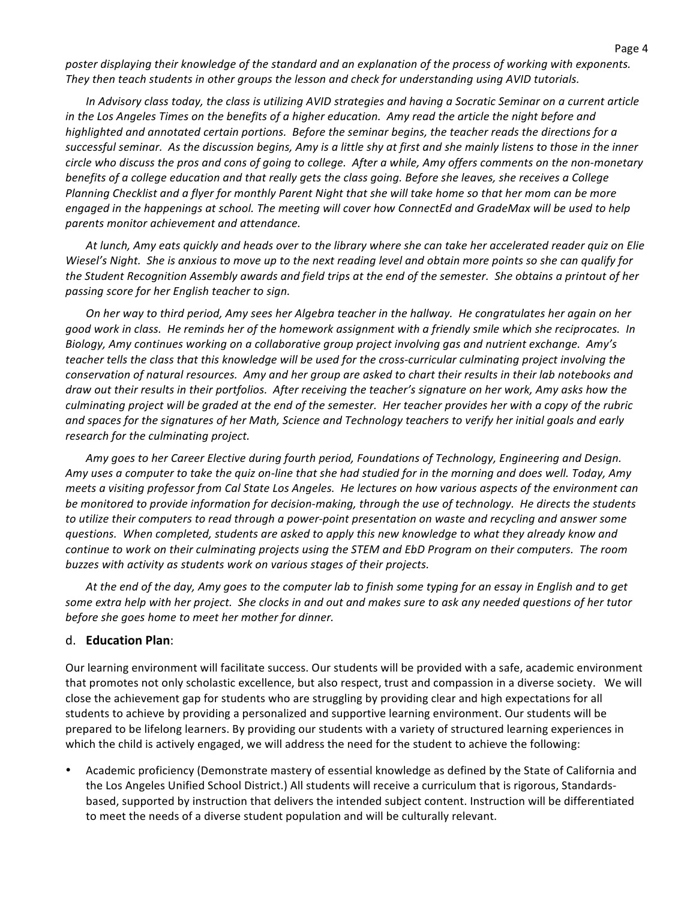poster displaying their knowledge of the standard and an explanation of the process of working with exponents. They then teach students in other groups the lesson and check for understanding using AVID tutorials.

*In Advisory class today, the class is utilizing AVID strategies and having a Socratic Seminar on a current article in the Los Angeles Times on the benefits of a higher education. Amy read the article the night before and highlighted&and&annotated&certain&portions.&&Before&the&seminar&begins,&the&teacher&reads&the&directions&for&a&* successful seminar. As the discussion begins, Amy is a little shy at first and she mainly listens to those in the inner *circle&who&discuss&the&pros&and&cons&of&going&to&college.&&After&a&while,&Amy&offers&comments&on&the&nonPmonetary& benefits&of&a&college&education&and&that&really&gets&the&class&going.&Before&she&leaves,&she&receives&a&College& Planning Checklist and a flyer for monthly Parent Night that she will take home so that her mom can be more*  $engaged$  in the happenings at school. The meeting will cover how ConnectEd and GradeMax will be used to help *parents&monitor&achievement&and&attendance.*

*At&lunch,&Amy&eats&quickly&and&heads&over&to&the&library&where&she&can&take&her&accelerated&reader&quiz&on&Elie& Wiesel's Night. She is anxious to move up to the next reading level and obtain more points so she can qualify for* the Student Recognition Assembly awards and field trips at the end of the semester. She obtains a printout of her *passing&score&for&her&English&teacher&to&sign.&&*

*On her way to third period, Amy sees her Algebra teacher in the hallway. He congratulates her again on her* good work in class. He reminds her of the homework assignment with a friendly smile which she reciprocates. In Biology, Amy continues working on a collaborative group project involving gas and nutrient exchange. Amy's teacher tells the class that this knowledge will be used for the cross-curricular culminating project involving the *conservation&of&natural&resources.&&Amy&and&her&group&are&asked&to&chart&their&results&in&their&lab&notebooks&and&* draw out their results in their portfolios. After receiving the teacher's signature on her work, Amy asks how the *culminating&project&will&be&graded&at&the&end&of&the&semester.&&Her&teacher&provides&her&with&a&copy&of&the&rubric&* and spaces for the signatures of her Math, Science and Technology teachers to verify her initial goals and early  $r$ esearch for the culminating project.

*Amy&goes&to&her&Career&Elective&during&fourth&period,&Foundations&of&Technology,&Engineering&and&Design.&& Amy&uses&a&computer&to&take&the&quiz&onPline&that&she&had&studied&for&in&the&morning&and&does&well.&Today,&Amy& meets a visiting professor from Cal State Los Angeles. He lectures on how various aspects of the environment can* be monitored to provide information for decision-making, through the use of technology. He directs the students to utilize their computers to read through a power-point presentation on waste and recycling and answer some *questions.&&When&completed,&students&are&asked&to&apply&this&new&knowledge&to&what&they&already&know&and&* continue to work on their culminating projects using the STEM and EbD Program on their computers. The room buzzes with activity as students work on various stages of their projects.

*At&the&end&of&the&day,&Amy&goes&to&the&computer&lab&to&finish&some&typing&for&an&essay&in&English&and&to&get&* some extra help with her project. She clocks in and out and makes sure to ask any needed questions of her tutor before she goes home to meet her mother for dinner.

#### d. **Education Plan**:

Our learning environment will facilitate success. Our students will be provided with a safe, academic environment that promotes not only scholastic excellence, but also respect, trust and compassion in a diverse society. We will close the achievement gap for students who are struggling by providing clear and high expectations for all students to achieve by providing a personalized and supportive learning environment. Our students will be prepared to be lifelong learners. By providing our students with a variety of structured learning experiences in which the child is actively engaged, we will address the need for the student to achieve the following:

Academic proficiency (Demonstrate mastery of essential knowledge as defined by the State of California and the Los Angeles Unified School District.) All students will receive a curriculum that is rigorous, Standardsbased, supported by instruction that delivers the intended subject content. Instruction will be differentiated to meet the needs of a diverse student population and will be culturally relevant.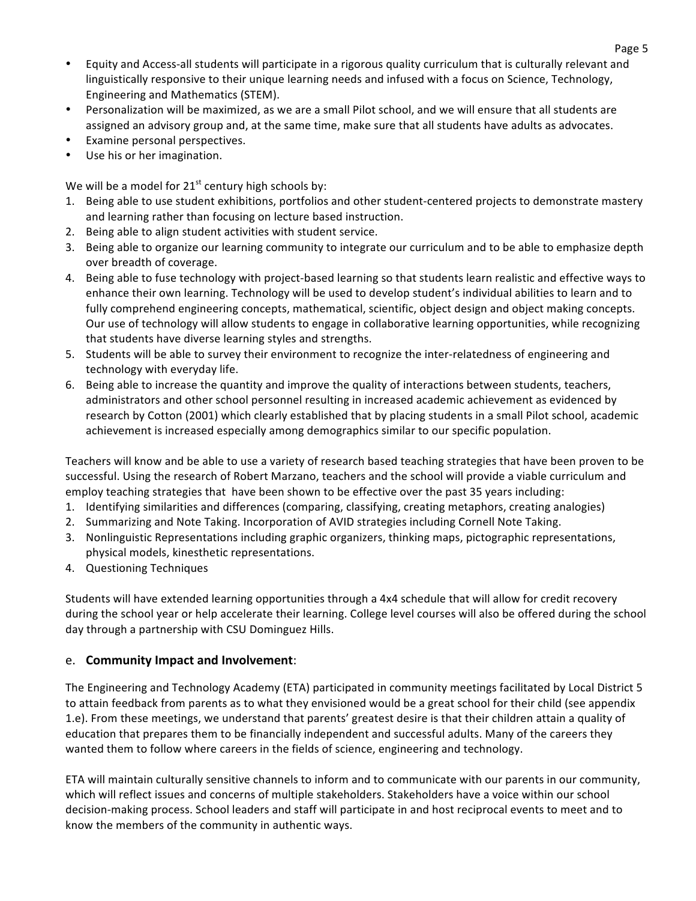- Equity and Access-all students will participate in a rigorous quality curriculum that is culturally relevant and linguistically responsive to their unique learning needs and infused with a focus on Science, Technology, Engineering and Mathematics (STEM).
- Personalization will be maximized, as we are a small Pilot school, and we will ensure that all students are assigned an advisory group and, at the same time, make sure that all students have adults as advocates.
- Examine personal perspectives.
- Use his or her imagination.

We will be a model for  $21<sup>st</sup>$  century high schools by:

- 1. Being able to use student exhibitions, portfolios and other student-centered projects to demonstrate mastery and learning rather than focusing on lecture based instruction.
- 2. Being able to align student activities with student service.
- 3. Being able to organize our learning community to integrate our curriculum and to be able to emphasize depth over breadth of coverage.
- 4. Being able to fuse technology with project-based learning so that students learn realistic and effective ways to enhance their own learning. Technology will be used to develop student's individual abilities to learn and to fully comprehend engineering concepts, mathematical, scientific, object design and object making concepts. Our use of technology will allow students to engage in collaborative learning opportunities, while recognizing that students have diverse learning styles and strengths.
- 5. Students will be able to survey their environment to recognize the inter-relatedness of engineering and technology with everyday life.
- 6. Being able to increase the quantity and improve the quality of interactions between students, teachers, administrators and other school personnel resulting in increased academic achievement as evidenced by research by Cotton (2001) which clearly established that by placing students in a small Pilot school, academic achievement is increased especially among demographics similar to our specific population.

Teachers will know and be able to use a variety of research based teaching strategies that have been proven to be successful. Using the research of Robert Marzano, teachers and the school will provide a viable curriculum and employ teaching strategies that have been shown to be effective over the past 35 years including:

- 1. Identifying similarities and differences (comparing, classifying, creating metaphors, creating analogies)
- 2. Summarizing and Note Taking. Incorporation of AVID strategies including Cornell Note Taking.
- 3. Nonlinguistic Representations including graphic organizers, thinking maps, pictographic representations, physical models, kinesthetic representations.
- 4. Questioning Techniques

Students will have extended learning opportunities through a 4x4 schedule that will allow for credit recovery during the school year or help accelerate their learning. College level courses will also be offered during the school day through a partnership with CSU Dominguez Hills.

### e. **Community Impact and Involvement:**

The Engineering and Technology Academy (ETA) participated in community meetings facilitated by Local District 5 to attain feedback from parents as to what they envisioned would be a great school for their child (see appendix 1.e). From these meetings, we understand that parents' greatest desire is that their children attain a quality of education that prepares them to be financially independent and successful adults. Many of the careers they wanted them to follow where careers in the fields of science, engineering and technology.

ETA will maintain culturally sensitive channels to inform and to communicate with our parents in our community, which will reflect issues and concerns of multiple stakeholders. Stakeholders have a voice within our school decision-making process. School leaders and staff will participate in and host reciprocal events to meet and to know the members of the community in authentic ways.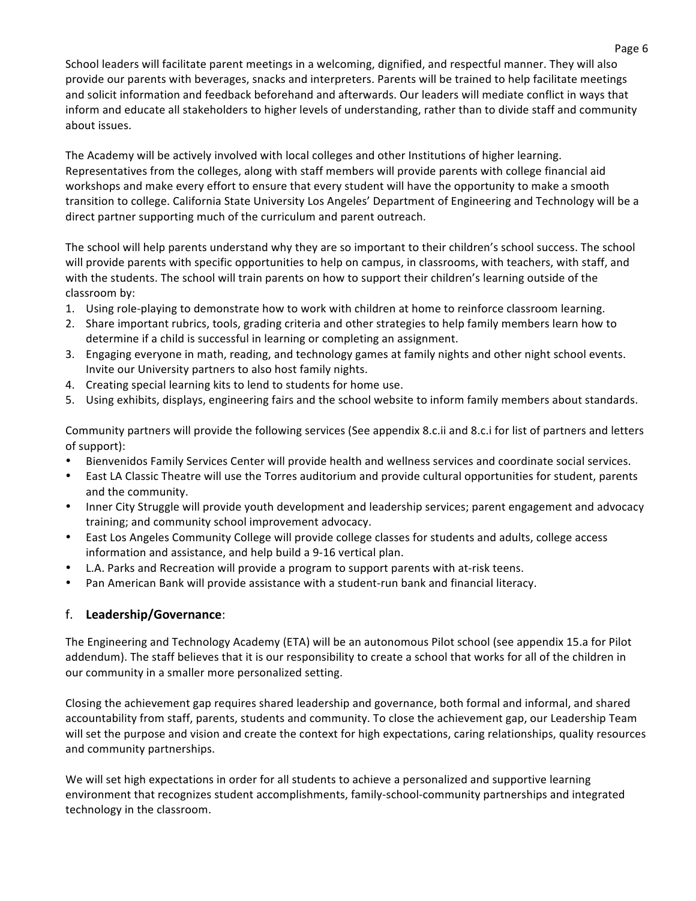School leaders will facilitate parent meetings in a welcoming, dignified, and respectful manner. They will also provide our parents with beverages, snacks and interpreters. Parents will be trained to help facilitate meetings and solicit information and feedback beforehand and afterwards. Our leaders will mediate conflict in ways that inform and educate all stakeholders to higher levels of understanding, rather than to divide staff and community about issues.

The Academy will be actively involved with local colleges and other Institutions of higher learning. Representatives from the colleges, along with staff members will provide parents with college financial aid workshops and make every effort to ensure that every student will have the opportunity to make a smooth transition to college. California State University Los Angeles' Department of Engineering and Technology will be a direct partner supporting much of the curriculum and parent outreach.

The school will help parents understand why they are so important to their children's school success. The school will provide parents with specific opportunities to help on campus, in classrooms, with teachers, with staff, and with the students. The school will train parents on how to support their children's learning outside of the classroom by:

- 1. Using role-playing to demonstrate how to work with children at home to reinforce classroom learning.
- 2. Share important rubrics, tools, grading criteria and other strategies to help family members learn how to determine if a child is successful in learning or completing an assignment.
- 3. Engaging everyone in math, reading, and technology games at family nights and other night school events. Invite our University partners to also host family nights.
- 4. Creating special learning kits to lend to students for home use.
- 5. Using exhibits, displays, engineering fairs and the school website to inform family members about standards.

Community partners will provide the following services (See appendix 8.c.ii and 8.c.i for list of partners and letters of support):

- Bienvenidos Family Services Center will provide health and wellness services and coordinate social services.
- East LA Classic Theatre will use the Torres auditorium and provide cultural opportunities for student, parents and the community.
- Inner City Struggle will provide youth development and leadership services; parent engagement and advocacy training; and community school improvement advocacy.
- East Los Angeles Community College will provide college classes for students and adults, college access information and assistance, and help build a 9-16 vertical plan.
- L.A. Parks and Recreation will provide a program to support parents with at-risk teens.
- Pan American Bank will provide assistance with a student-run bank and financial literacy.

### f. **Leadership/Governance**:

The Engineering and Technology Academy (ETA) will be an autonomous Pilot school (see appendix 15.a for Pilot addendum). The staff believes that it is our responsibility to create a school that works for all of the children in our community in a smaller more personalized setting.

Closing the achievement gap requires shared leadership and governance, both formal and informal, and shared accountability from staff, parents, students and community. To close the achievement gap, our Leadership Team will set the purpose and vision and create the context for high expectations, caring relationships, quality resources and community partnerships.

We will set high expectations in order for all students to achieve a personalized and supportive learning environment that recognizes student accomplishments, family-school-community partnerships and integrated technology in the classroom.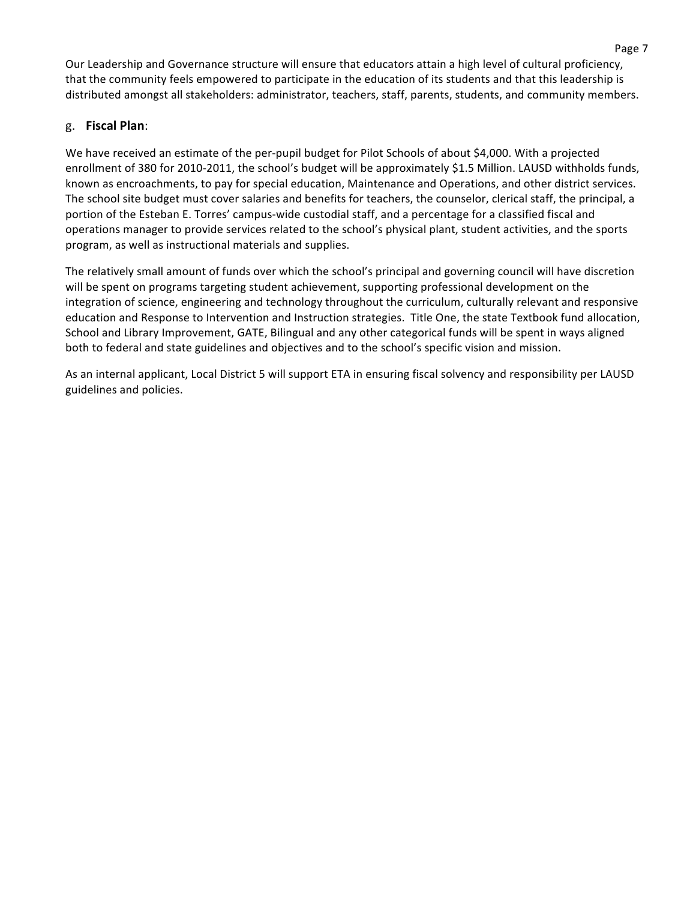Our Leadership and Governance structure will ensure that educators attain a high level of cultural proficiency, that the community feels empowered to participate in the education of its students and that this leadership is distributed amongst all stakeholders: administrator, teachers, staff, parents, students, and community members.

## g. **Fiscal(Plan**:!

We have received an estimate of the per-pupil budget for Pilot Schools of about \$4,000. With a projected enrollment of 380 for 2010-2011, the school's budget will be approximately \$1.5 Million. LAUSD withholds funds, known as encroachments, to pay for special education, Maintenance and Operations, and other district services. The school site budget must cover salaries and benefits for teachers, the counselor, clerical staff, the principal, a portion of the Esteban E. Torres' campus-wide custodial staff, and a percentage for a classified fiscal and operations manager to provide services related to the school's physical plant, student activities, and the sports program, as well as instructional materials and supplies.

The relatively small amount of funds over which the school's principal and governing council will have discretion will be spent on programs targeting student achievement, supporting professional development on the integration of science, engineering and technology throughout the curriculum, culturally relevant and responsive education and Response to Intervention and Instruction strategies. Title One, the state Textbook fund allocation, School and Library Improvement, GATE, Bilingual and any other categorical funds will be spent in ways aligned both to federal and state guidelines and objectives and to the school's specific vision and mission.

As an internal applicant, Local District 5 will support ETA in ensuring fiscal solvency and responsibility per LAUSD guidelines and policies.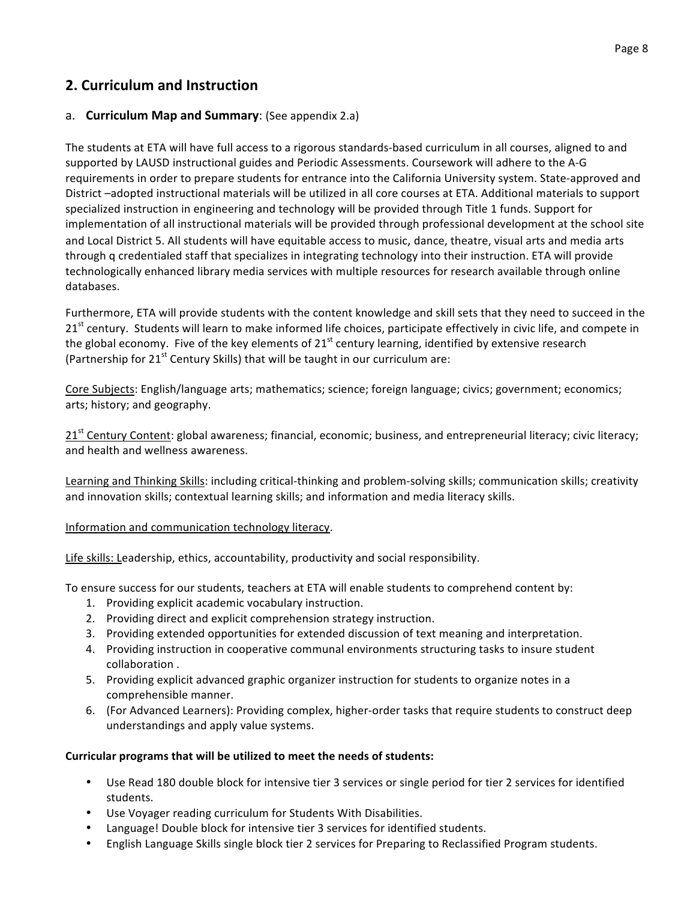# **2. Curriculum and Instruction**

#### a. **Curriculum Map and Summary:** (See appendix 2.a)

The students at ETA will have full access to a rigorous standards-based curriculum in all courses, aligned to and supported by LAUSD instructional guides and Periodic Assessments. Coursework will adhere to the A-G requirements in order to prepare students for entrance into the California University system. State-approved and District –adopted instructional materials will be utilized in all core courses at ETA. Additional materials to support specialized instruction in engineering and technology will be provided through Title 1 funds. Support for implementation of all instructional materials will be provided through professional development at the school site and Local District 5. All students will have equitable access to music, dance, theatre, visual arts and media arts through q credentialed staff that specializes in integrating technology into their instruction. ETA will provide technologically enhanced library media services with multiple resources for research available through online databases.

Furthermore, ETA will provide students with the content knowledge and skill sets that they need to succeed in the 21<sup>st</sup> century. Students will learn to make informed life choices, participate effectively in civic life, and compete in the global economy. Five of the key elements of  $21<sup>st</sup>$  century learning, identified by extensive research (Partnership for  $21<sup>st</sup>$  Century Skills) that will be taught in our curriculum are:

Core Subjects: English/language arts; mathematics; science; foreign language; civics; government; economics; arts; history; and geography.

 $21<sup>st</sup>$  Century Content: global awareness; financial, economic; business, and entrepreneurial literacy; civic literacy; and health and wellness awareness.

Learning and Thinking Skills: including critical-thinking and problem-solving skills; communication skills; creativity and innovation skills; contextual learning skills; and information and media literacy skills.

#### Information and communication technology literacy.

Life skills: Leadership, ethics, accountability, productivity and social responsibility.

To ensure success for our students, teachers at ETA will enable students to comprehend content by:

- 1. Providing explicit academic vocabulary instruction.
- 2. Providing direct and explicit comprehension strategy instruction.
- 3. Providing extended opportunities for extended discussion of text meaning and interpretation.
- 4. Providing instruction in cooperative communal environments structuring tasks to insure student collaboration.
- 5. Providing explicit advanced graphic organizer instruction for students to organize notes in a comprehensible manner.
- 6. (For Advanced Learners): Providing complex, higher-order tasks that require students to construct deep understandings and apply value systems.

#### Curricular programs that will be utilized to meet the needs of students:

- Use Read 180 double block for intensive tier 3 services or single period for tier 2 services for identified students.
- Use Voyager reading curriculum for Students With Disabilities.
- Language! Double block for intensive tier 3 services for identified students.
- English Language Skills single block tier 2 services for Preparing to Reclassified Program students.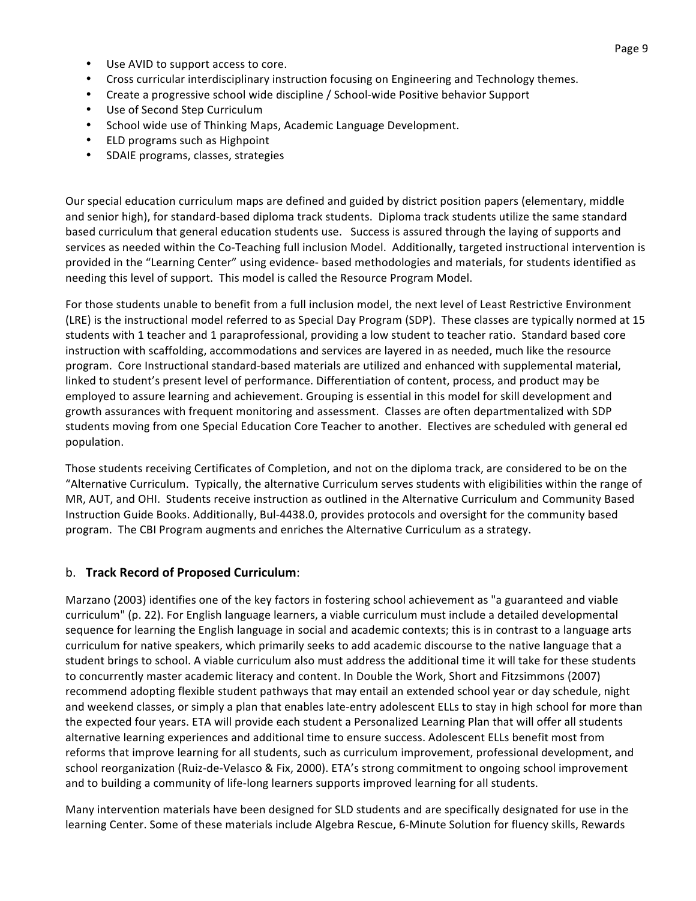- Use AVID to support access to core.
- Cross curricular interdisciplinary instruction focusing on Engineering and Technology themes.
- Create a progressive school wide discipline / School-wide Positive behavior Support
- Use of Second Step Curriculum
- School wide use of Thinking Maps, Academic Language Development.
- ELD programs such as Highpoint
- SDAIE programs, classes, strategies

Our special education curriculum maps are defined and guided by district position papers (elementary, middle and senior high), for standard-based diploma track students. Diploma track students utilize the same standard based curriculum that general education students use. Success is assured through the laying of supports and services as needed within the Co-Teaching full inclusion Model. Additionally, targeted instructional intervention is provided in the "Learning Center" using evidence- based methodologies and materials, for students identified as needing this level of support. This model is called the Resource Program Model.

For those students unable to benefit from a full inclusion model, the next level of Least Restrictive Environment (LRE) is the instructional model referred to as Special Day Program (SDP). These classes are typically normed at 15 students with 1 teacher and 1 paraprofessional, providing a low student to teacher ratio. Standard based core instruction with scaffolding, accommodations and services are layered in as needed, much like the resource program. Core Instructional standard-based materials are utilized and enhanced with supplemental material, linked to student's present level of performance. Differentiation of content, process, and product may be employed to assure learning and achievement. Grouping is essential in this model for skill development and growth assurances with frequent monitoring and assessment. Classes are often departmentalized with SDP students moving from one Special Education Core Teacher to another. Electives are scheduled with general ed population.

Those students receiving Certificates of Completion, and not on the diploma track, are considered to be on the "Alternative Curriculum. Typically, the alternative Curriculum serves students with eligibilities within the range of MR, AUT, and OHI. Students receive instruction as outlined in the Alternative Curriculum and Community Based Instruction Guide Books. Additionally, Bul-4438.0, provides protocols and oversight for the community based program. The CBI Program augments and enriches the Alternative Curriculum as a strategy.

### b. **Track Record of Proposed Curriculum**:

Marzano (2003) identifies one of the key factors in fostering school achievement as "a guaranteed and viable curriculum" (p. 22). For English language learners, a viable curriculum must include a detailed developmental sequence for learning the English language in social and academic contexts; this is in contrast to a language arts curriculum for native speakers, which primarily seeks to add academic discourse to the native language that a student brings to school. A viable curriculum also must address the additional time it will take for these students to concurrently master academic literacy and content. In Double the Work, Short and Fitzsimmons (2007) recommend adopting flexible student pathways that may entail an extended school year or day schedule, night and weekend classes, or simply a plan that enables late-entry adolescent ELLs to stay in high school for more than the expected four years. ETA will provide each student a Personalized Learning Plan that will offer all students alternative learning experiences and additional time to ensure success. Adolescent ELLs benefit most from reforms that improve learning for all students, such as curriculum improvement, professional development, and school reorganization (Ruiz-de-Velasco & Fix, 2000). ETA's strong commitment to ongoing school improvement and to building a community of life-long learners supports improved learning for all students.

Many intervention materials have been designed for SLD students and are specifically designated for use in the learning Center. Some of these materials include Algebra Rescue, 6-Minute Solution for fluency skills, Rewards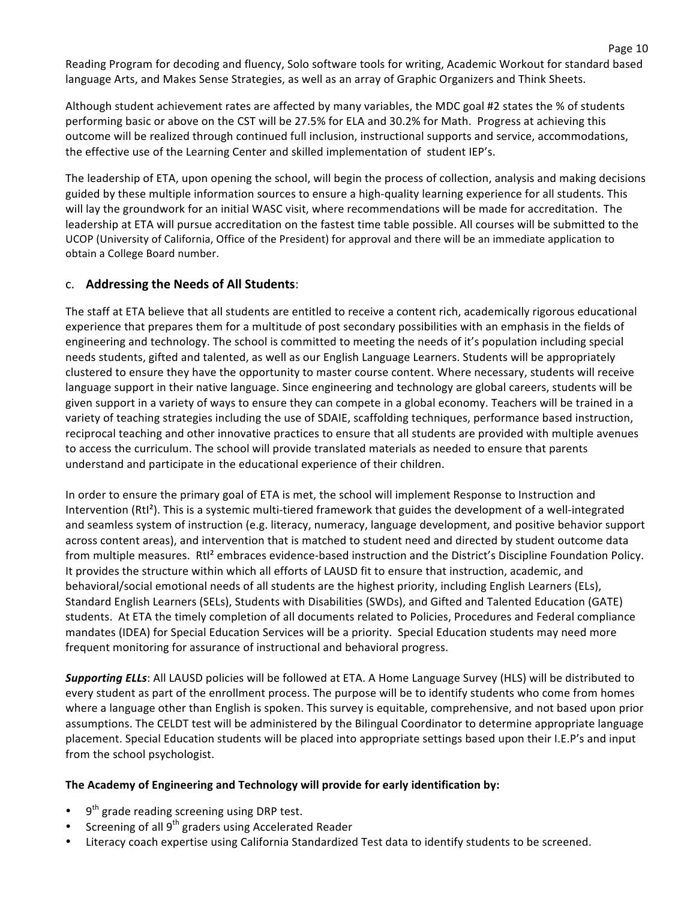Reading Program for decoding and fluency, Solo software tools for writing, Academic Workout for standard based language Arts, and Makes Sense Strategies, as well as an array of Graphic Organizers and Think Sheets.

Page 10

Although student achievement rates are affected by many variables, the MDC goal #2 states the % of students performing basic or above on the CST will be 27.5% for ELA and 30.2% for Math. Progress at achieving this outcome will be realized through continued full inclusion, instructional supports and service, accommodations, the effective use of the Learning Center and skilled implementation of student IEP's.

The leadership of ETA, upon opening the school, will begin the process of collection, analysis and making decisions guided by these multiple information sources to ensure a high-quality learning experience for all students. This will lay the groundwork for an initial WASC visit, where recommendations will be made for accreditation. The leadership at ETA will pursue accreditation on the fastest time table possible. All courses will be submitted to the UCOP (University of California, Office of the President) for approval and there will be an immediate application to obtain a College Board number.

## c. **Addressing the Needs of All Students:**

The staff at ETA believe that all students are entitled to receive a content rich, academically rigorous educational experience that prepares them for a multitude of post secondary possibilities with an emphasis in the fields of engineering and technology. The school is committed to meeting the needs of it's population including special needs students, gifted and talented, as well as our English Language Learners. Students will be appropriately clustered to ensure they have the opportunity to master course content. Where necessary, students will receive language support in their native language. Since engineering and technology are global careers, students will be given support in a variety of ways to ensure they can compete in a global economy. Teachers will be trained in a variety of teaching strategies including the use of SDAIE, scaffolding techniques, performance based instruction, reciprocal teaching and other innovative practices to ensure that all students are provided with multiple avenues to access the curriculum. The school will provide translated materials as needed to ensure that parents understand and participate in the educational experience of their children.

In order to ensure the primary goal of ETA is met, the school will implement Response to Instruction and Intervention (RtI<sup>2</sup>). This is a systemic multi-tiered framework that guides the development of a well-integrated and seamless system of instruction (e.g. literacy, numeracy, language development, and positive behavior support across content areas), and intervention that is matched to student need and directed by student outcome data from multiple measures. RtI<sup>2</sup> embraces evidence-based instruction and the District's Discipline Foundation Policy. It provides the structure within which all efforts of LAUSD fit to ensure that instruction, academic, and behavioral/social emotional needs of all students are the highest priority, including English Learners (ELs), Standard English Learners (SELs), Students with Disabilities (SWDs), and Gifted and Talented Education (GATE) students. At ETA the timely completion of all documents related to Policies, Procedures and Federal compliance mandates (IDEA) for Special Education Services will be a priority. Special Education students may need more frequent monitoring for assurance of instructional and behavioral progress.

**Supporting ELLs**: All LAUSD policies will be followed at ETA. A Home Language Survey (HLS) will be distributed to every student as part of the enrollment process. The purpose will be to identify students who come from homes where a language other than English is spoken. This survey is equitable, comprehensive, and not based upon prior assumptions. The CELDT test will be administered by the Bilingual Coordinator to determine appropriate language placement. Special Education students will be placed into appropriate settings based upon their I.E.P's and input from the school psychologist.

### The Academy of Engineering and Technology will provide for early identification by:

- $9<sup>th</sup>$  grade reading screening using DRP test.
- Screening of all  $9<sup>th</sup>$  graders using Accelerated Reader
- Literacy coach expertise using California Standardized Test data to identify students to be screened.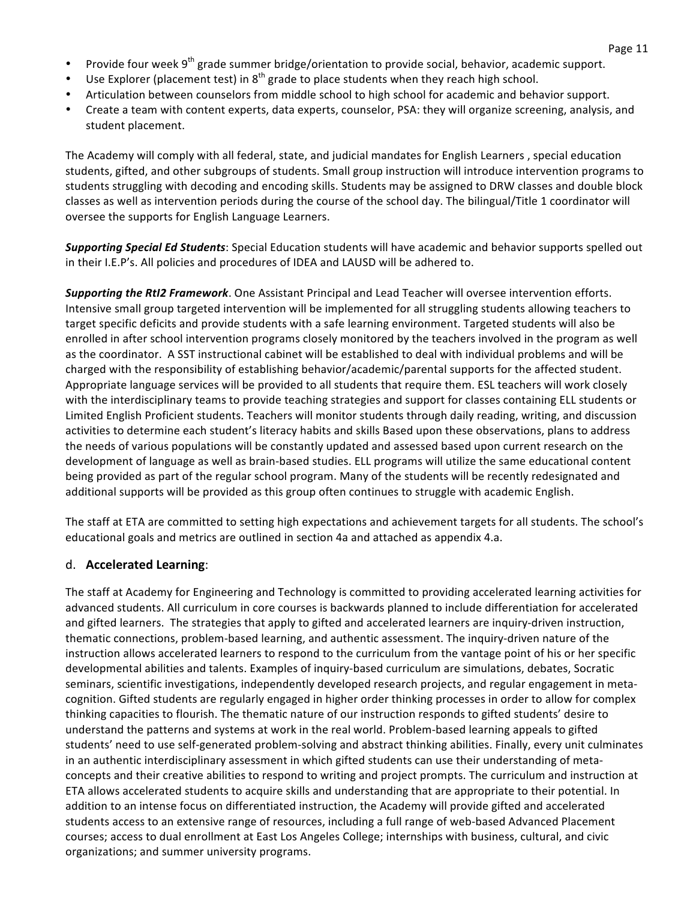- Provide four week  $9<sup>th</sup>$  grade summer bridge/orientation to provide social, behavior, academic support.
- Use Explorer (placement test) in  $8<sup>th</sup>$  grade to place students when they reach high school.
- Articulation between counselors from middle school to high school for academic and behavior support.
- Create a team with content experts, data experts, counselor, PSA: they will organize screening, analysis, and student placement.

The Academy will comply with all federal, state, and judicial mandates for English Learners, special education students, gifted, and other subgroups of students. Small group instruction will introduce intervention programs to students struggling with decoding and encoding skills. Students may be assigned to DRW classes and double block classes as well as intervention periods during the course of the school day. The bilingual/Title 1 coordinator will oversee the supports for English Language Learners.

**Supporting Special Ed Students**: Special Education students will have academic and behavior supports spelled out in their I.E.P's. All policies and procedures of IDEA and LAUSD will be adhered to.

**Supporting the RtI2 Framework**. One Assistant Principal and Lead Teacher will oversee intervention efforts. Intensive small group targeted intervention will be implemented for all struggling students allowing teachers to target specific deficits and provide students with a safe learning environment. Targeted students will also be enrolled in after school intervention programs closely monitored by the teachers involved in the program as well as the coordinator. A SST instructional cabinet will be established to deal with individual problems and will be charged with the responsibility of establishing behavior/academic/parental supports for the affected student. Appropriate language services will be provided to all students that require them. ESL teachers will work closely with the interdisciplinary teams to provide teaching strategies and support for classes containing ELL students or Limited English Proficient students. Teachers will monitor students through daily reading, writing, and discussion activities to determine each student's literacy habits and skills Based upon these observations, plans to address the needs of various populations will be constantly updated and assessed based upon current research on the development of language as well as brain-based studies. ELL programs will utilize the same educational content being provided as part of the regular school program. Many of the students will be recently redesignated and additional supports will be provided as this group often continues to struggle with academic English.

The staff at ETA are committed to setting high expectations and achievement targets for all students. The school's educational goals and metrics are outlined in section 4a and attached as appendix 4.a.

### d. **Accelerated Learning**:

The staff at Academy for Engineering and Technology is committed to providing accelerated learning activities for advanced students. All curriculum in core courses is backwards planned to include differentiation for accelerated and gifted learners. The strategies that apply to gifted and accelerated learners are inquiry-driven instruction, thematic connections, problem-based learning, and authentic assessment. The inquiry-driven nature of the instruction allows accelerated learners to respond to the curriculum from the vantage point of his or her specific developmental abilities and talents. Examples of inquiry-based curriculum are simulations, debates, Socratic seminars, scientific investigations, independently developed research projects, and regular engagement in metacognition. Gifted students are regularly engaged in higher order thinking processes in order to allow for complex thinking capacities to flourish. The thematic nature of our instruction responds to gifted students' desire to understand the patterns and systems at work in the real world. Problem-based learning appeals to gifted students' need to use self-generated problem-solving and abstract thinking abilities. Finally, every unit culminates in an authentic interdisciplinary assessment in which gifted students can use their understanding of metaconcepts and their creative abilities to respond to writing and project prompts. The curriculum and instruction at ETA allows accelerated students to acquire skills and understanding that are appropriate to their potential. In addition to an intense focus on differentiated instruction, the Academy will provide gifted and accelerated students access to an extensive range of resources, including a full range of web-based Advanced Placement courses; access to dual enrollment at East Los Angeles College; internships with business, cultural, and civic organizations; and summer university programs.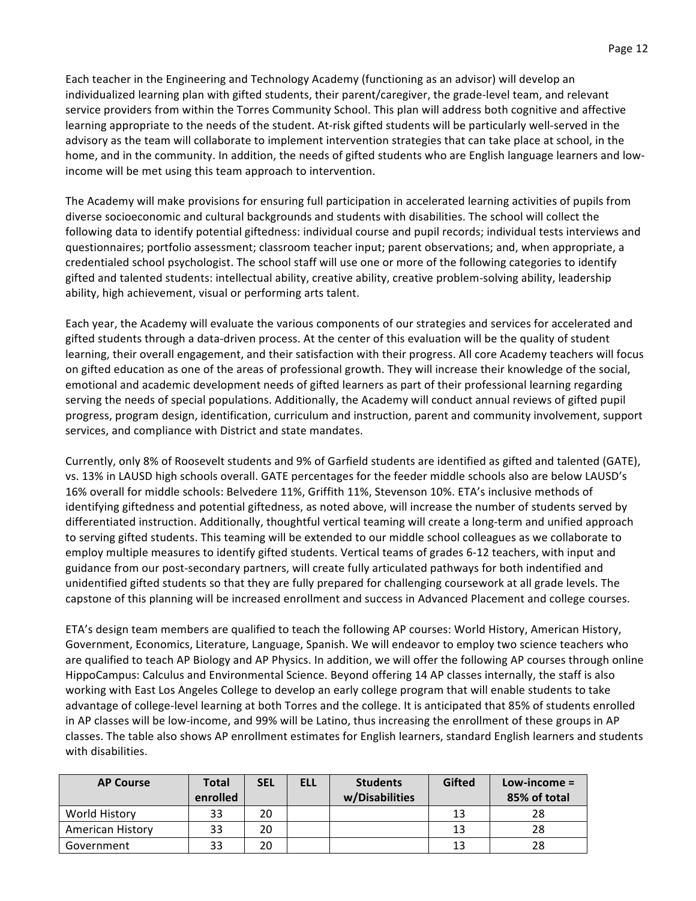Each teacher in the Engineering and Technology Academy (functioning as an advisor) will develop an individualized learning plan with gifted students, their parent/caregiver, the grade-level team, and relevant service providers from within the Torres Community School. This plan will address both cognitive and affective learning appropriate to the needs of the student. At-risk gifted students will be particularly well-served in the advisory as the team will collaborate to implement intervention strategies that can take place at school, in the home, and in the community. In addition, the needs of gifted students who are English language learners and lowincome will be met using this team approach to intervention.

The Academy will make provisions for ensuring full participation in accelerated learning activities of pupils from diverse socioeconomic and cultural backgrounds and students with disabilities. The school will collect the following data to identify potential giftedness: individual course and pupil records; individual tests interviews and questionnaires; portfolio assessment; classroom teacher input; parent observations; and, when appropriate, a credentialed school psychologist. The school staff will use one or more of the following categories to identify gifted and talented students: intellectual ability, creative ability, creative problem-solving ability, leadership ability, high achievement, visual or performing arts talent.

Each year, the Academy will evaluate the various components of our strategies and services for accelerated and gifted students through a data-driven process. At the center of this evaluation will be the quality of student learning, their overall engagement, and their satisfaction with their progress. All core Academy teachers will focus on gifted education as one of the areas of professional growth. They will increase their knowledge of the social, emotional and academic development needs of gifted learners as part of their professional learning regarding serving the needs of special populations. Additionally, the Academy will conduct annual reviews of gifted pupil progress, program design, identification, curriculum and instruction, parent and community involvement, support services, and compliance with District and state mandates.

Currently, only 8% of Roosevelt students and 9% of Garfield students are identified as gifted and talented (GATE), vs. 13% in LAUSD high schools overall. GATE percentages for the feeder middle schools also are below LAUSD's 16% overall for middle schools: Belvedere 11%, Griffith 11%, Stevenson 10%. ETA's inclusive methods of identifying giftedness and potential giftedness, as noted above, will increase the number of students served by differentiated instruction. Additionally, thoughtful vertical teaming will create a long-term and unified approach to serving gifted students. This teaming will be extended to our middle school colleagues as we collaborate to employ multiple measures to identify gifted students. Vertical teams of grades 6-12 teachers, with input and guidance from our post-secondary partners, will create fully articulated pathways for both indentified and unidentified gifted students so that they are fully prepared for challenging coursework at all grade levels. The capstone of this planning will be increased enrollment and success in Advanced Placement and college courses.

ETA's design team members are qualified to teach the following AP courses: World History, American History, Government, Economics, Literature, Language, Spanish. We will endeavor to employ two science teachers who are qualified to teach AP Biology and AP Physics. In addition, we will offer the following AP courses through online HippoCampus: Calculus and Environmental Science. Beyond offering 14 AP classes internally, the staff is also working with East Los Angeles College to develop an early college program that will enable students to take advantage of college-level learning at both Torres and the college. It is anticipated that 85% of students enrolled in AP classes will be low-income, and 99% will be Latino, thus increasing the enrollment of these groups in AP classes. The table also shows AP enrollment estimates for English learners, standard English learners and students with disabilities.

| <b>AP Course</b> | Total<br>enrolled | <b>SEL</b> | ELL | <b>Students</b><br>w/Disabilities | Gifted | Low-income $=$<br>85% of total |
|------------------|-------------------|------------|-----|-----------------------------------|--------|--------------------------------|
| World History    | 33                | 20         |     |                                   | 13     | 28                             |
| American History | 33                | 20         |     |                                   | 13     | 28                             |
| Government       | 33                | 20         |     |                                   | 13     | 28                             |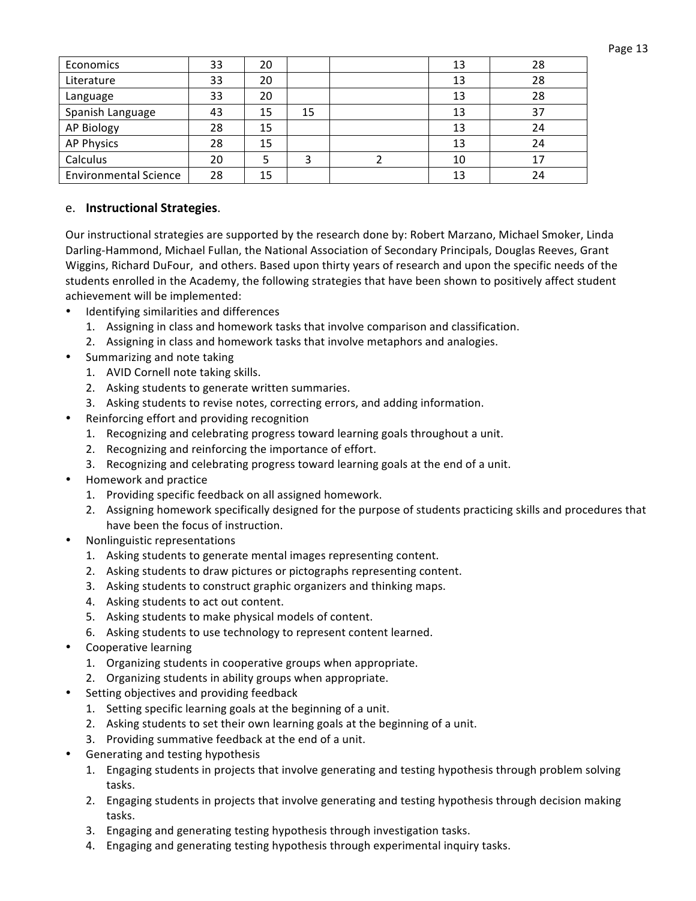| Economics                    | 33 | 20 |    | 13 | 28 |
|------------------------------|----|----|----|----|----|
| Literature                   | 33 | 20 |    | 13 | 28 |
| Language                     | 33 | 20 |    | 13 | 28 |
| Spanish Language             | 43 | 15 | 15 | 13 | 37 |
| AP Biology                   | 28 | 15 |    | 13 | 24 |
| <b>AP Physics</b>            | 28 | 15 |    | 13 | 24 |
| Calculus                     | 20 |    |    | 10 | 17 |
| <b>Environmental Science</b> | 28 | 15 |    | 13 | 24 |

#### e. **Instructional Strategies**.

Our instructional strategies are supported by the research done by: Robert Marzano, Michael Smoker, Linda Darling-Hammond, Michael Fullan, the National Association of Secondary Principals, Douglas Reeves, Grant Wiggins, Richard DuFour, and others. Based upon thirty years of research and upon the specific needs of the students enrolled in the Academy, the following strategies that have been shown to positively affect student achievement will be implemented:

- Identifying similarities and differences
	- 1. Assigning in class and homework tasks that involve comparison and classification.
	- 2. Assigning in class and homework tasks that involve metaphors and analogies.
- Summarizing and note taking
	- 1. AVID Cornell note taking skills.
	- 2. Asking students to generate written summaries.
	- 3. Asking students to revise notes, correcting errors, and adding information.
- Reinforcing effort and providing recognition
	- 1. Recognizing and celebrating progress toward learning goals throughout a unit.
	- 2. Recognizing and reinforcing the importance of effort.
	- 3. Recognizing and celebrating progress toward learning goals at the end of a unit.
- Homework and practice
	- 1. Providing specific feedback on all assigned homework.
	- 2. Assigning homework specifically designed for the purpose of students practicing skills and procedures that have been the focus of instruction.
- Nonlinguistic representations
	- 1. Asking students to generate mental images representing content.
	- 2. Asking students to draw pictures or pictographs representing content.
	- 3. Asking students to construct graphic organizers and thinking maps.
	- 4. Asking students to act out content.
	- 5. Asking students to make physical models of content.
	- 6. Asking students to use technology to represent content learned.
- Cooperative learning
	- 1. Organizing students in cooperative groups when appropriate.
	- 2. Organizing students in ability groups when appropriate.
- Setting objectives and providing feedback
	- 1. Setting specific learning goals at the beginning of a unit.
	- 2. Asking students to set their own learning goals at the beginning of a unit.
	- 3. Providing summative feedback at the end of a unit.
- Generating and testing hypothesis
	- 1. Engaging students in projects that involve generating and testing hypothesis through problem solving tasks.
	- 2. Engaging students in projects that involve generating and testing hypothesis through decision making tasks.
	- 3. Engaging and generating testing hypothesis through investigation tasks.
	- 4. Engaging and generating testing hypothesis through experimental inquiry tasks.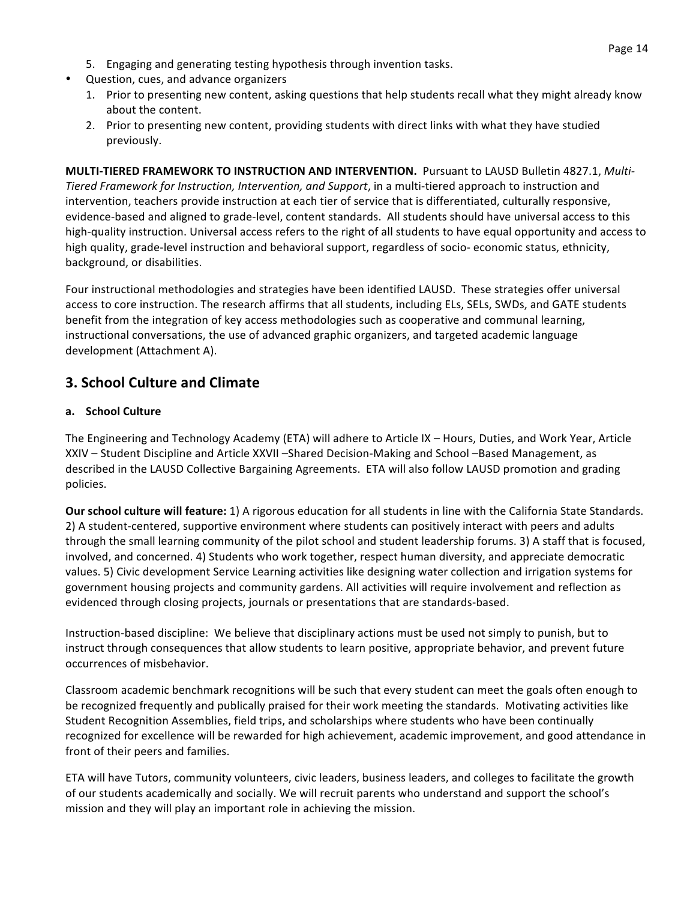- 5. Engaging and generating testing hypothesis through invention tasks.
- Question, cues, and advance organizers
	- 1. Prior to presenting new content, asking questions that help students recall what they might already know about the content.
	- 2. Prior to presenting new content, providing students with direct links with what they have studied previously.

**MULTI-TIERED FRAMEWORK TO INSTRUCTION AND INTERVENTION.** Pursuant to LAUSD Bulletin 4827.1, *Multi-Tiered Framework for Instruction, Intervention, and Support*, in a multi-tiered approach to instruction and intervention, teachers provide instruction at each tier of service that is differentiated, culturally responsive, evidence-based and aligned to grade-level, content standards. All students should have universal access to this high-quality instruction. Universal access refers to the right of all students to have equal opportunity and access to high quality, grade-level instruction and behavioral support, regardless of socio-economic status, ethnicity, background, or disabilities.

Four instructional methodologies and strategies have been identified LAUSD. These strategies offer universal access to core instruction. The research affirms that all students, including ELs, SELs, SWDs, and GATE students benefit from the integration of key access methodologies such as cooperative and communal learning, instructional conversations, the use of advanced graphic organizers, and targeted academic language development (Attachment A).

# **3. School Culture and Climate**

#### **a. School(Culture**

The Engineering and Technology Academy (ETA) will adhere to Article IX – Hours, Duties, and Work Year, Article XXIV – Student Discipline and Article XXVII –Shared Decision-Making and School –Based Management, as described in the LAUSD Collective Bargaining Agreements. ETA will also follow LAUSD promotion and grading policies.

**Our school culture will feature:** 1) A rigorous education for all students in line with the California State Standards. 2) A student-centered, supportive environment where students can positively interact with peers and adults through the small learning community of the pilot school and student leadership forums. 3) A staff that is focused, involved, and concerned. 4) Students who work together, respect human diversity, and appreciate democratic values. 5) Civic development Service Learning activities like designing water collection and irrigation systems for government housing projects and community gardens. All activities will require involvement and reflection as evidenced through closing projects, journals or presentations that are standards-based.

Instruction-based discipline: We believe that disciplinary actions must be used not simply to punish, but to instruct through consequences that allow students to learn positive, appropriate behavior, and prevent future occurrences of misbehavior.

Classroom academic benchmark recognitions will be such that every student can meet the goals often enough to be recognized frequently and publically praised for their work meeting the standards. Motivating activities like Student Recognition Assemblies, field trips, and scholarships where students who have been continually recognized for excellence will be rewarded for high achievement, academic improvement, and good attendance in front of their peers and families.

ETA will have Tutors, community volunteers, civic leaders, business leaders, and colleges to facilitate the growth of our students academically and socially. We will recruit parents who understand and support the school's mission and they will play an important role in achieving the mission.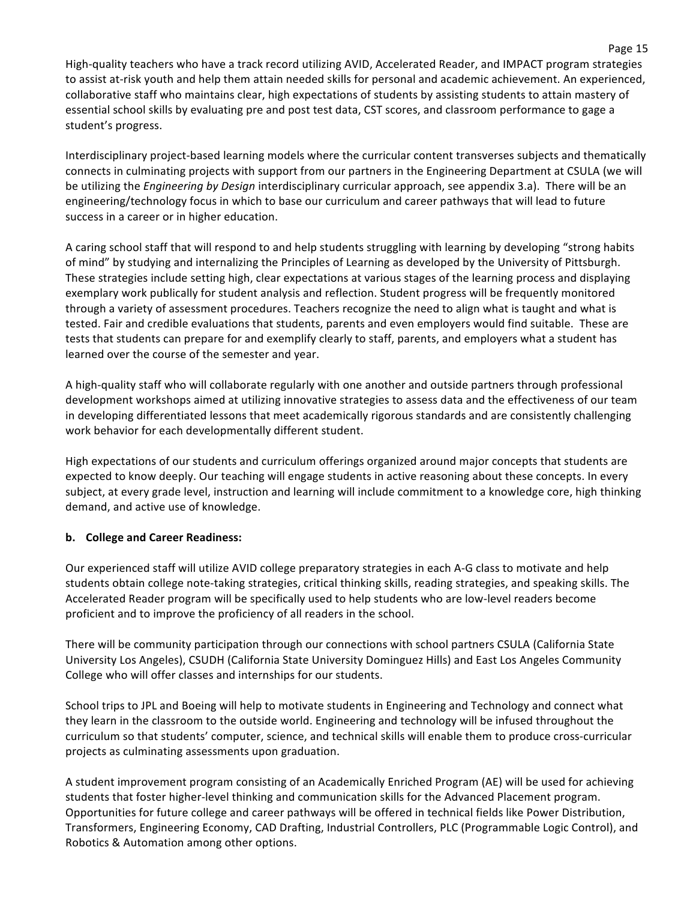High-quality teachers who have a track record utilizing AVID, Accelerated Reader, and IMPACT program strategies to assist at-risk youth and help them attain needed skills for personal and academic achievement. An experienced, collaborative staff who maintains clear, high expectations of students by assisting students to attain mastery of essential school skills by evaluating pre and post test data, CST scores, and classroom performance to gage a student's progress.

Interdisciplinary project-based learning models where the curricular content transverses subjects and thematically connects in culminating projects with support from our partners in the Engineering Department at CSULA (we will be utilizing the *Engineering by Design* interdisciplinary curricular approach, see appendix 3.a). There will be an engineering/technology focus in which to base our curriculum and career pathways that will lead to future success in a career or in higher education.

A caring school staff that will respond to and help students struggling with learning by developing "strong habits of mind" by studying and internalizing the Principles of Learning as developed by the University of Pittsburgh. These strategies include setting high, clear expectations at various stages of the learning process and displaying exemplary work publically for student analysis and reflection. Student progress will be frequently monitored through a variety of assessment procedures. Teachers recognize the need to align what is taught and what is tested. Fair and credible evaluations that students, parents and even employers would find suitable. These are tests that students can prepare for and exemplify clearly to staff, parents, and employers what a student has learned over the course of the semester and year.

A high-quality staff who will collaborate regularly with one another and outside partners through professional development workshops aimed at utilizing innovative strategies to assess data and the effectiveness of our team in developing differentiated lessons that meet academically rigorous standards and are consistently challenging work behavior for each developmentally different student.

High expectations of our students and curriculum offerings organized around major concepts that students are expected to know deeply. Our teaching will engage students in active reasoning about these concepts. In every subject, at every grade level, instruction and learning will include commitment to a knowledge core, high thinking demand, and active use of knowledge.

### **b.** College and Career Readiness:

Our experienced staff will utilize AVID college preparatory strategies in each A-G class to motivate and help students obtain college note-taking strategies, critical thinking skills, reading strategies, and speaking skills. The Accelerated Reader program will be specifically used to help students who are low-level readers become proficient and to improve the proficiency of all readers in the school.

There will be community participation through our connections with school partners CSULA (California State University Los Angeles), CSUDH (California State University Dominguez Hills) and East Los Angeles Community College who will offer classes and internships for our students.

School trips to JPL and Boeing will help to motivate students in Engineering and Technology and connect what they learn in the classroom to the outside world. Engineering and technology will be infused throughout the curriculum so that students' computer, science, and technical skills will enable them to produce cross-curricular projects as culminating assessments upon graduation.

A student improvement program consisting of an Academically Enriched Program (AE) will be used for achieving students that foster higher-level thinking and communication skills for the Advanced Placement program. Opportunities for future college and career pathways will be offered in technical fields like Power Distribution, Transformers, Engineering Economy, CAD Drafting, Industrial Controllers, PLC (Programmable Logic Control), and Robotics & Automation among other options.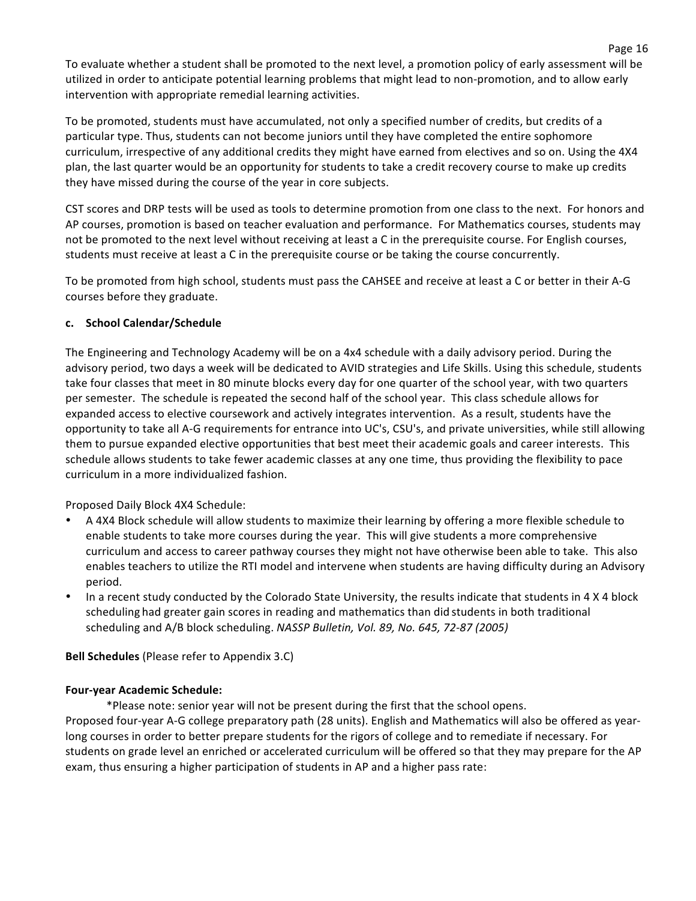To evaluate whether a student shall be promoted to the next level, a promotion policy of early assessment will be utilized in order to anticipate potential learning problems that might lead to non-promotion, and to allow early intervention with appropriate remedial learning activities.

To be promoted, students must have accumulated, not only a specified number of credits, but credits of a particular type. Thus, students can not become juniors until they have completed the entire sophomore curriculum, irrespective of any additional credits they might have earned from electives and so on. Using the 4X4 plan, the last quarter would be an opportunity for students to take a credit recovery course to make up credits they have missed during the course of the year in core subjects.

CST scores and DRP tests will be used as tools to determine promotion from one class to the next. For honors and AP courses, promotion is based on teacher evaluation and performance. For Mathematics courses, students may not be promoted to the next level without receiving at least a C in the prerequisite course. For English courses, students must receive at least a C in the prerequisite course or be taking the course concurrently.

To be promoted from high school, students must pass the CAHSEE and receive at least a C or better in their A-G courses before they graduate.

#### **c. School(Calendar/Schedule**

The Engineering and Technology Academy will be on a 4x4 schedule with a daily advisory period. During the advisory period, two days a week will be dedicated to AVID strategies and Life Skills. Using this schedule, students take four classes that meet in 80 minute blocks every day for one quarter of the school year, with two quarters per semester. The schedule is repeated the second half of the school year. This class schedule allows for expanded access to elective coursework and actively integrates intervention. As a result, students have the opportunity to take all A-G requirements for entrance into UC's, CSU's, and private universities, while still allowing them to pursue expanded elective opportunities that best meet their academic goals and career interests. This schedule allows students to take fewer academic classes at any one time, thus providing the flexibility to pace curriculum in a more individualized fashion.

Proposed Daily Block 4X4 Schedule:

- A 4X4 Block schedule will allow students to maximize their learning by offering a more flexible schedule to enable students to take more courses during the year. This will give students a more comprehensive curriculum and access to career pathway courses they might not have otherwise been able to take. This also enables teachers to utilize the RTI model and intervene when students are having difficulty during an Advisory period.
- In a recent study conducted by the Colorado State University, the results indicate that students in 4 X 4 block scheduling had greater gain scores in reading and mathematics than did students in both traditional scheduling and A/B block scheduling. *NASSP Bulletin, Vol. 89, No. 645, 72-87 (2005)*

**Bell Schedules** (Please refer to Appendix 3.C)

#### **Four-year Academic Schedule:**

\*Please note: senior year will not be present during the first that the school opens. Proposed four-year A-G college preparatory path (28 units). English and Mathematics will also be offered as yearlong courses in order to better prepare students for the rigors of college and to remediate if necessary. For students on grade level an enriched or accelerated curriculum will be offered so that they may prepare for the AP exam, thus ensuring a higher participation of students in AP and a higher pass rate: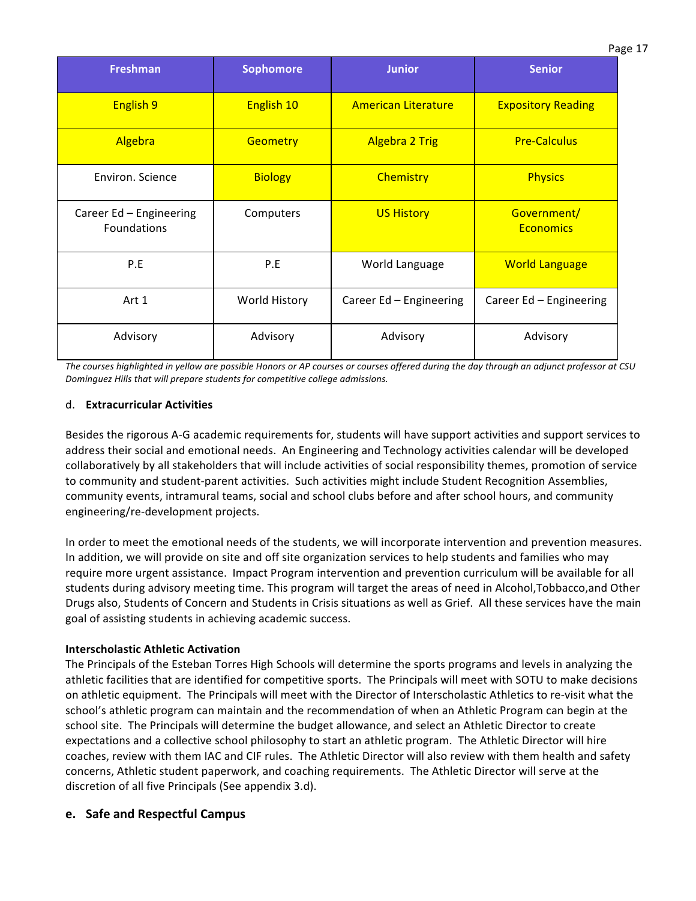| <b>Freshman</b>                        | <b>Sophomore</b> | <b>Junior</b>              | <b>Senior</b>                   |
|----------------------------------------|------------------|----------------------------|---------------------------------|
| <b>English 9</b>                       | English 10       | <b>American Literature</b> | <b>Expository Reading</b>       |
| Algebra                                | <b>Geometry</b>  | <b>Algebra 2 Trig</b>      | <b>Pre-Calculus</b>             |
| Environ. Science                       | <b>Biology</b>   | <b>Chemistry</b>           | <b>Physics</b>                  |
| Career Ed - Engineering<br>Foundations | Computers        | <b>US History</b>          | Government/<br><b>Economics</b> |
| P.E                                    | P.E              | World Language             | <b>World Language</b>           |
| Art 1                                  | World History    | Career Ed - Engineering    | Career Ed - Engineering         |
| Advisory                               | Advisory         | Advisory                   | Advisory                        |

The courses highlighted in yellow are possible Honors or AP courses or courses offered during the day through an adjunct professor at CSU *Dominguez Hills that will prepare students for competitive college admissions.* 

#### d. **Extracurricular(Activities**

Besides the rigorous A-G academic requirements for, students will have support activities and support services to address their social and emotional needs. An Engineering and Technology activities calendar will be developed collaboratively by all stakeholders that will include activities of social responsibility themes, promotion of service to community and student-parent activities. Such activities might include Student Recognition Assemblies, community events, intramural teams, social and school clubs before and after school hours, and community engineering/re-development projects.

In order to meet the emotional needs of the students, we will incorporate intervention and prevention measures. In addition, we will provide on site and off site organization services to help students and families who may require more urgent assistance. Impact Program intervention and prevention curriculum will be available for all students during advisory meeting time. This program will target the areas of need in Alcohol,Tobbacco,and Other Drugs also, Students of Concern and Students in Crisis situations as well as Grief. All these services have the main goal of assisting students in achieving academic success.

#### **Interscholastic Athletic Activation**

The Principals of the Esteban Torres High Schools will determine the sports programs and levels in analyzing the athletic facilities that are identified for competitive sports. The Principals will meet with SOTU to make decisions on athletic equipment. The Principals will meet with the Director of Interscholastic Athletics to re-visit what the school's athletic program can maintain and the recommendation of when an Athletic Program can begin at the school site. The Principals will determine the budget allowance, and select an Athletic Director to create expectations and a collective school philosophy to start an athletic program. The Athletic Director will hire coaches, review with them IAC and CIF rules. The Athletic Director will also review with them health and safety concerns, Athletic student paperwork, and coaching requirements. The Athletic Director will serve at the discretion of all five Principals (See appendix 3.d).

### **e.** Safe and Respectful Campus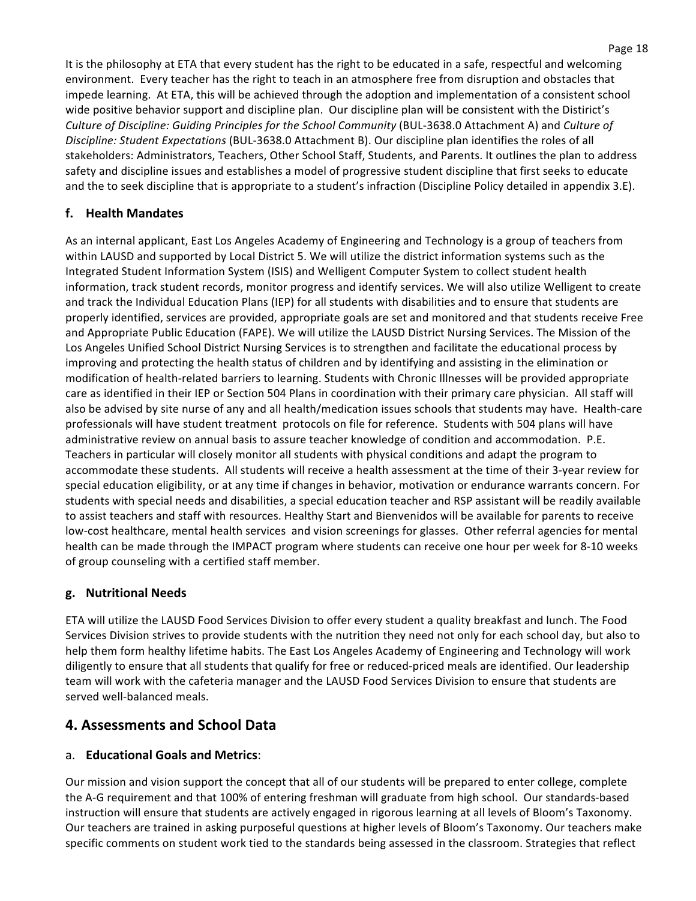It is the philosophy at ETA that every student has the right to be educated in a safe, respectful and welcoming environment. Every teacher has the right to teach in an atmosphere free from disruption and obstacles that impede learning. At ETA, this will be achieved through the adoption and implementation of a consistent school wide positive behavior support and discipline plan. Our discipline plan will be consistent with the Distirict's *Culture of Discipline: Guiding Principles for the School Community* (BUL-3638.0 Attachment A) and *Culture of Discipline: Student Expectations* (BUL-3638.0 Attachment B). Our discipline plan identifies the roles of all stakeholders: Administrators, Teachers, Other School Staff, Students, and Parents. It outlines the plan to address safety and discipline issues and establishes a model of progressive student discipline that first seeks to educate and the to seek discipline that is appropriate to a student's infraction (Discipline Policy detailed in appendix 3.E).

# **f. Health(Mandates**

As an internal applicant, East Los Angeles Academy of Engineering and Technology is a group of teachers from within LAUSD and supported by Local District 5. We will utilize the district information systems such as the Integrated Student Information System (ISIS) and Welligent Computer System to collect student health information, track student records, monitor progress and identify services. We will also utilize Welligent to create and track the Individual Education Plans (IEP) for all students with disabilities and to ensure that students are properly identified, services are provided, appropriate goals are set and monitored and that students receive Free and Appropriate Public Education (FAPE). We will utilize the LAUSD District Nursing Services. The Mission of the Los Angeles Unified School District Nursing Services is to strengthen and facilitate the educational process by improving and protecting the health status of children and by identifying and assisting in the elimination or modification of health-related barriers to learning. Students with Chronic Illnesses will be provided appropriate care as identified in their IEP or Section 504 Plans in coordination with their primary care physician. All staff will also be advised by site nurse of any and all health/medication issues schools that students may have. Health-care professionals will have student treatment protocols on file for reference. Students with 504 plans will have administrative review on annual basis to assure teacher knowledge of condition and accommodation. P.E. Teachers in particular will closely monitor all students with physical conditions and adapt the program to accommodate these students. All students will receive a health assessment at the time of their 3-year review for special education eligibility, or at any time if changes in behavior, motivation or endurance warrants concern. For students with special needs and disabilities, a special education teacher and RSP assistant will be readily available to assist teachers and staff with resources. Healthy Start and Bienvenidos will be available for parents to receive low-cost healthcare, mental health services and vision screenings for glasses. Other referral agencies for mental health can be made through the IMPACT program where students can receive one hour per week for 8-10 weeks of group counseling with a certified staff member.

### **g. Nutritional(Needs**

ETA will utilize the LAUSD Food Services Division to offer every student a quality breakfast and lunch. The Food Services Division strives to provide students with the nutrition they need not only for each school day, but also to help them form healthy lifetime habits. The East Los Angeles Academy of Engineering and Technology will work diligently to ensure that all students that qualify for free or reduced-priced meals are identified. Our leadership team will work with the cafeteria manager and the LAUSD Food Services Division to ensure that students are served well-balanced meals.

# **4. Assessments and School Data**

### a. **Educational Goals and Metrics:**

Our mission and vision support the concept that all of our students will be prepared to enter college, complete the A-G requirement and that 100% of entering freshman will graduate from high school. Our standards-based instruction will ensure that students are actively engaged in rigorous learning at all levels of Bloom's Taxonomy. Our teachers are trained in asking purposeful questions at higher levels of Bloom's Taxonomy. Our teachers make specific comments on student work tied to the standards being assessed in the classroom. Strategies that reflect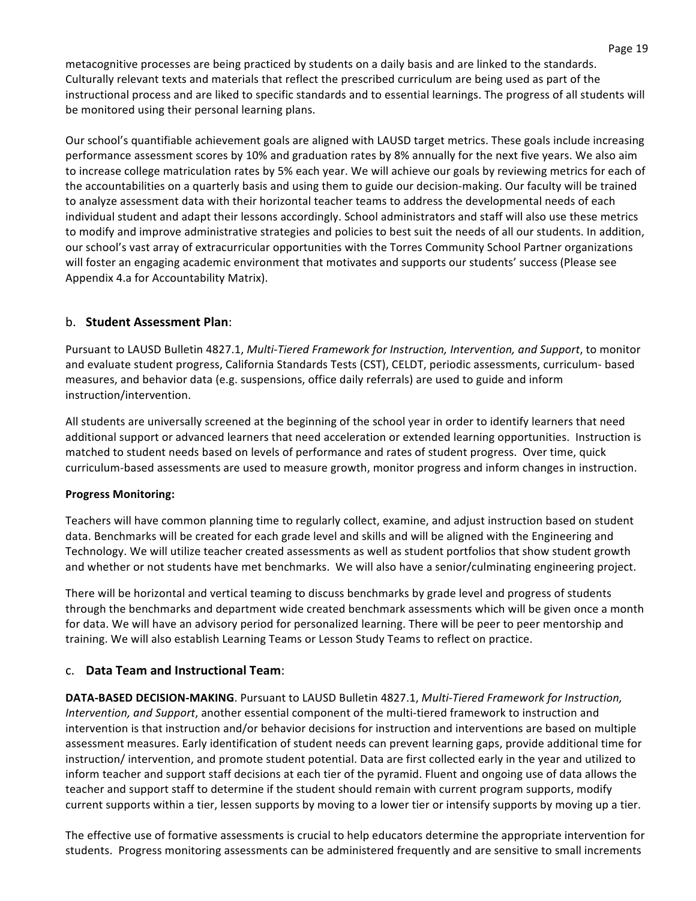metacognitive processes are being practiced by students on a daily basis and are linked to the standards. Culturally relevant texts and materials that reflect the prescribed curriculum are being used as part of the instructional process and are liked to specific standards and to essential learnings. The progress of all students will be monitored using their personal learning plans.

Our school's quantifiable achievement goals are aligned with LAUSD target metrics. These goals include increasing performance assessment scores by 10% and graduation rates by 8% annually for the next five years. We also aim to increase college matriculation rates by 5% each year. We will achieve our goals by reviewing metrics for each of the accountabilities on a quarterly basis and using them to guide our decision-making. Our faculty will be trained to analyze assessment data with their horizontal teacher teams to address the developmental needs of each individual student and adapt their lessons accordingly. School administrators and staff will also use these metrics to modify and improve administrative strategies and policies to best suit the needs of all our students. In addition, our school's vast array of extracurricular opportunities with the Torres Community School Partner organizations will foster an engaging academic environment that motivates and supports our students' success (Please see Appendix 4.a for Accountability Matrix).

## b. **Student Assessment Plan:**

Pursuant to LAUSD Bulletin 4827.1, *Multi-Tiered Framework for Instruction, Intervention, and Support*, to monitor and evaluate student progress, California Standards Tests (CST), CELDT, periodic assessments, curriculum- based measures, and behavior data (e.g. suspensions, office daily referrals) are used to guide and inform instruction/intervention.

All students are universally screened at the beginning of the school year in order to identify learners that need additional support or advanced learners that need acceleration or extended learning opportunities. Instruction is matched to student needs based on levels of performance and rates of student progress. Over time, quick curriculum-based assessments are used to measure growth, monitor progress and inform changes in instruction.

### **Progress Monitoring:**

Teachers will have common planning time to regularly collect, examine, and adjust instruction based on student data. Benchmarks will be created for each grade level and skills and will be aligned with the Engineering and Technology. We will utilize teacher created assessments as well as student portfolios that show student growth and whether or not students have met benchmarks. We will also have a senior/culminating engineering project.

There will be horizontal and vertical teaming to discuss benchmarks by grade level and progress of students through the benchmarks and department wide created benchmark assessments which will be given once a month for data. We will have an advisory period for personalized learning. There will be peer to peer mentorship and training. We will also establish Learning Teams or Lesson Study Teams to reflect on practice.

### c. **Data Team and Instructional Team**:

**DATA-BASED DECISION-MAKING**. Pursuant to LAUSD Bulletin 4827.1, *Multi-Tiered Framework for Instruction*, *Intervention, and Support,* another essential component of the multi-tiered framework to instruction and intervention is that instruction and/or behavior decisions for instruction and interventions are based on multiple assessment measures. Early identification of student needs can prevent learning gaps, provide additional time for instruction/ intervention, and promote student potential. Data are first collected early in the year and utilized to inform teacher and support staff decisions at each tier of the pyramid. Fluent and ongoing use of data allows the teacher and support staff to determine if the student should remain with current program supports, modify current supports within a tier, lessen supports by moving to a lower tier or intensify supports by moving up a tier.

The effective use of formative assessments is crucial to help educators determine the appropriate intervention for students. Progress monitoring assessments can be administered frequently and are sensitive to small increments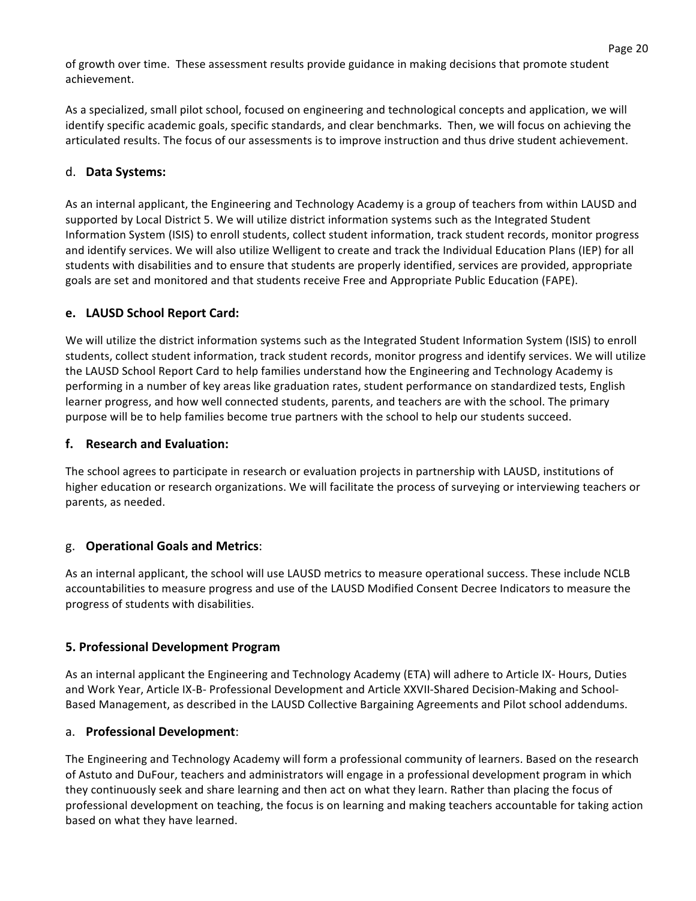of growth over time. These assessment results provide guidance in making decisions that promote student achievement.

As a specialized, small pilot school, focused on engineering and technological concepts and application, we will identify specific academic goals, specific standards, and clear benchmarks. Then, we will focus on achieving the articulated results. The focus of our assessments is to improve instruction and thus drive student achievement.

# d. **Data Systems:**

As an internal applicant, the Engineering and Technology Academy is a group of teachers from within LAUSD and supported by Local District 5. We will utilize district information systems such as the Integrated Student Information System (ISIS) to enroll students, collect student information, track student records, monitor progress and identify services. We will also utilize Welligent to create and track the Individual Education Plans (IEP) for all students with disabilities and to ensure that students are properly identified, services are provided, appropriate goals are set and monitored and that students receive Free and Appropriate Public Education (FAPE).

## **e.** LAUSD School Report Card:

We will utilize the district information systems such as the Integrated Student Information System (ISIS) to enroll students, collect student information, track student records, monitor progress and identify services. We will utilize the LAUSD School Report Card to help families understand how the Engineering and Technology Academy is performing in a number of key areas like graduation rates, student performance on standardized tests, English learner progress, and how well connected students, parents, and teachers are with the school. The primary purpose will be to help families become true partners with the school to help our students succeed.

### **f.** Research and Evaluation:

The school agrees to participate in research or evaluation projects in partnership with LAUSD, institutions of higher education or research organizations. We will facilitate the process of surveying or interviewing teachers or parents, as needed.

### g. **Operational(Goals(and(Metrics**:

As an internal applicant, the school will use LAUSD metrics to measure operational success. These include NCLB accountabilities to measure progress and use of the LAUSD Modified Consent Decree Indicators to measure the progress of students with disabilities.

### **5. Professional Development Program**

As an internal applicant the Engineering and Technology Academy (ETA) will adhere to Article IX-Hours, Duties and Work Year, Article IX-B- Professional Development and Article XXVII-Shared Decision-Making and School-Based Management, as described in the LAUSD Collective Bargaining Agreements and Pilot school addendums.

### a. **Professional Development**:

The Engineering and Technology Academy will form a professional community of learners. Based on the research of Astuto and DuFour, teachers and administrators will engage in a professional development program in which they continuously seek and share learning and then act on what they learn. Rather than placing the focus of professional development on teaching, the focus is on learning and making teachers accountable for taking action based on what they have learned.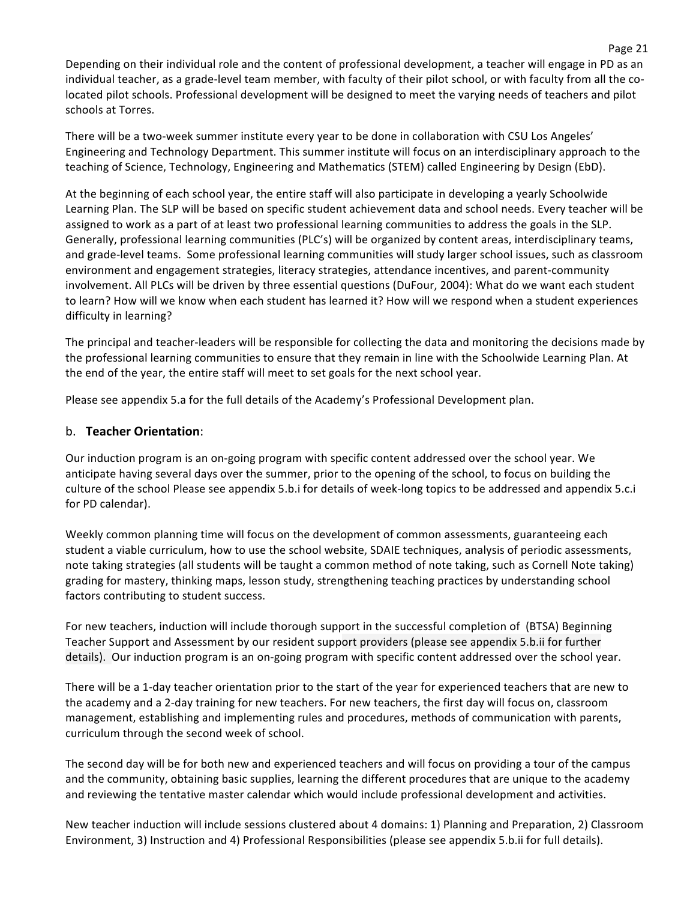Depending on their individual role and the content of professional development, a teacher will engage in PD as an individual teacher, as a grade-level team member, with faculty of their pilot school, or with faculty from all the colocated pilot schools. Professional development will be designed to meet the varying needs of teachers and pilot schools at Torres.

There will be a two-week summer institute every year to be done in collaboration with CSU Los Angeles' Engineering and Technology Department. This summer institute will focus on an interdisciplinary approach to the teaching of Science, Technology, Engineering and Mathematics (STEM) called Engineering by Design (EbD).

At the beginning of each school year, the entire staff will also participate in developing a yearly Schoolwide Learning Plan. The SLP will be based on specific student achievement data and school needs. Every teacher will be assigned to work as a part of at least two professional learning communities to address the goals in the SLP. Generally, professional learning communities (PLC's) will be organized by content areas, interdisciplinary teams, and grade-level teams. Some professional learning communities will study larger school issues, such as classroom environment and engagement strategies, literacy strategies, attendance incentives, and parent-community involvement. All PLCs will be driven by three essential questions (DuFour, 2004): What do we want each student to learn? How will we know when each student has learned it? How will we respond when a student experiences difficulty in learning?

The principal and teacher-leaders will be responsible for collecting the data and monitoring the decisions made by the professional learning communities to ensure that they remain in line with the Schoolwide Learning Plan. At the end of the year, the entire staff will meet to set goals for the next school year.

Please see appendix 5.a for the full details of the Academy's Professional Development plan.

### b. **Teacher Orientation**:

Our induction program is an on-going program with specific content addressed over the school year. We anticipate having several days over the summer, prior to the opening of the school, to focus on building the culture of the school Please see appendix 5.b.i for details of week-long topics to be addressed and appendix 5.c.i for PD calendar).

Weekly common planning time will focus on the development of common assessments, guaranteeing each student a viable curriculum, how to use the school website, SDAIE techniques, analysis of periodic assessments, note taking strategies (all students will be taught a common method of note taking, such as Cornell Note taking) grading for mastery, thinking maps, lesson study, strengthening teaching practices by understanding school factors contributing to student success.

For new teachers, induction will include thorough support in the successful completion of (BTSA) Beginning Teacher Support and Assessment by our resident support providers (please see appendix 5.b.ii for further details). Our induction program is an on-going program with specific content addressed over the school year.

There will be a 1-day teacher orientation prior to the start of the year for experienced teachers that are new to the academy and a 2-day training for new teachers. For new teachers, the first day will focus on, classroom management, establishing and implementing rules and procedures, methods of communication with parents, curriculum through the second week of school.

The second day will be for both new and experienced teachers and will focus on providing a tour of the campus and the community, obtaining basic supplies, learning the different procedures that are unique to the academy and reviewing the tentative master calendar which would include professional development and activities.

New teacher induction will include sessions clustered about 4 domains: 1) Planning and Preparation, 2) Classroom Environment, 3) Instruction and 4) Professional Responsibilities (please see appendix 5.b.ii for full details).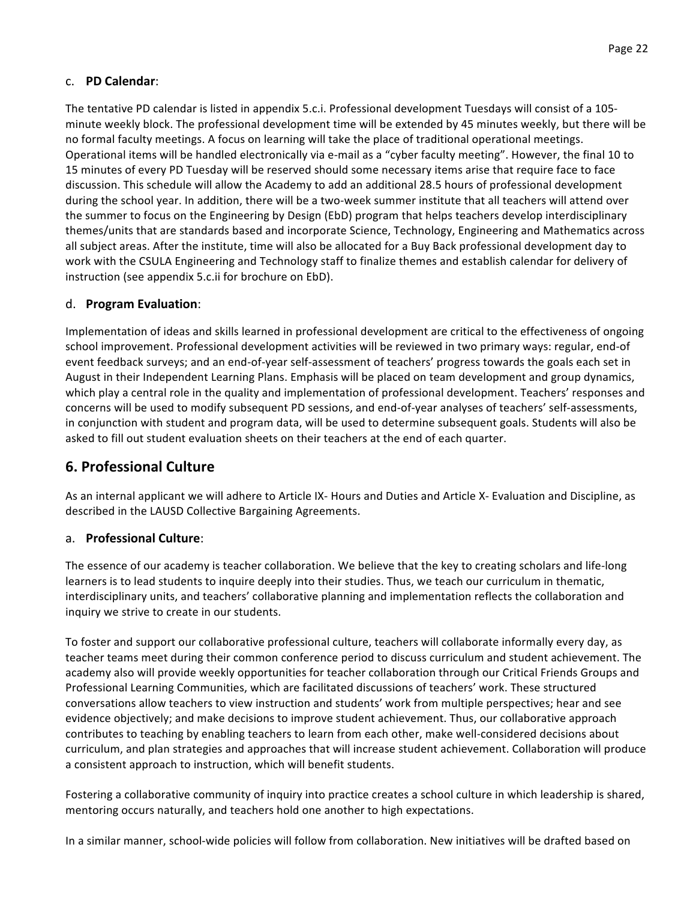## c. **PD(Calendar**:

The tentative PD calendar is listed in appendix 5.c.i. Professional development Tuesdays will consist of a 105minute weekly block. The professional development time will be extended by 45 minutes weekly, but there will be no formal faculty meetings. A focus on learning will take the place of traditional operational meetings. Operational items will be handled electronically via e-mail as a "cyber faculty meeting". However, the final 10 to 15 minutes of every PD Tuesday will be reserved should some necessary items arise that require face to face discussion. This schedule will allow the Academy to add an additional 28.5 hours of professional development during the school year. In addition, there will be a two-week summer institute that all teachers will attend over the summer to focus on the Engineering by Design (EbD) program that helps teachers develop interdisciplinary themes/units that are standards based and incorporate Science, Technology, Engineering and Mathematics across all subject areas. After the institute, time will also be allocated for a Buy Back professional development day to work with the CSULA Engineering and Technology staff to finalize themes and establish calendar for delivery of instruction (see appendix 5.c.ii for brochure on EbD).

### d. **Program(Evaluation**:

Implementation of ideas and skills learned in professional development are critical to the effectiveness of ongoing school improvement. Professional development activities will be reviewed in two primary ways: regular, end-of event feedback surveys; and an end-of-year self-assessment of teachers' progress towards the goals each set in August in their Independent Learning Plans. Emphasis will be placed on team development and group dynamics, which play a central role in the quality and implementation of professional development. Teachers' responses and concerns will be used to modify subsequent PD sessions, and end-of-year analyses of teachers' self-assessments, in conjunction with student and program data, will be used to determine subsequent goals. Students will also be asked to fill out student evaluation sheets on their teachers at the end of each quarter.

# **6.(Professional(Culture**

As an internal applicant we will adhere to Article IX- Hours and Duties and Article X- Evaluation and Discipline, as described in the LAUSD Collective Bargaining Agreements.

### a. **Professional Culture:**

The essence of our academy is teacher collaboration. We believe that the key to creating scholars and life-long learners is to lead students to inquire deeply into their studies. Thus, we teach our curriculum in thematic, interdisciplinary units, and teachers' collaborative planning and implementation reflects the collaboration and inquiry we strive to create in our students.

To foster and support our collaborative professional culture, teachers will collaborate informally every day, as teacher teams meet during their common conference period to discuss curriculum and student achievement. The academy also will provide weekly opportunities for teacher collaboration through our Critical Friends Groups and Professional Learning Communities, which are facilitated discussions of teachers' work. These structured conversations allow teachers to view instruction and students' work from multiple perspectives; hear and see evidence objectively; and make decisions to improve student achievement. Thus, our collaborative approach contributes to teaching by enabling teachers to learn from each other, make well-considered decisions about curriculum, and plan strategies and approaches that will increase student achievement. Collaboration will produce a consistent approach to instruction, which will benefit students.

Fostering a collaborative community of inquiry into practice creates a school culture in which leadership is shared, mentoring occurs naturally, and teachers hold one another to high expectations.

In a similar manner, school-wide policies will follow from collaboration. New initiatives will be drafted based on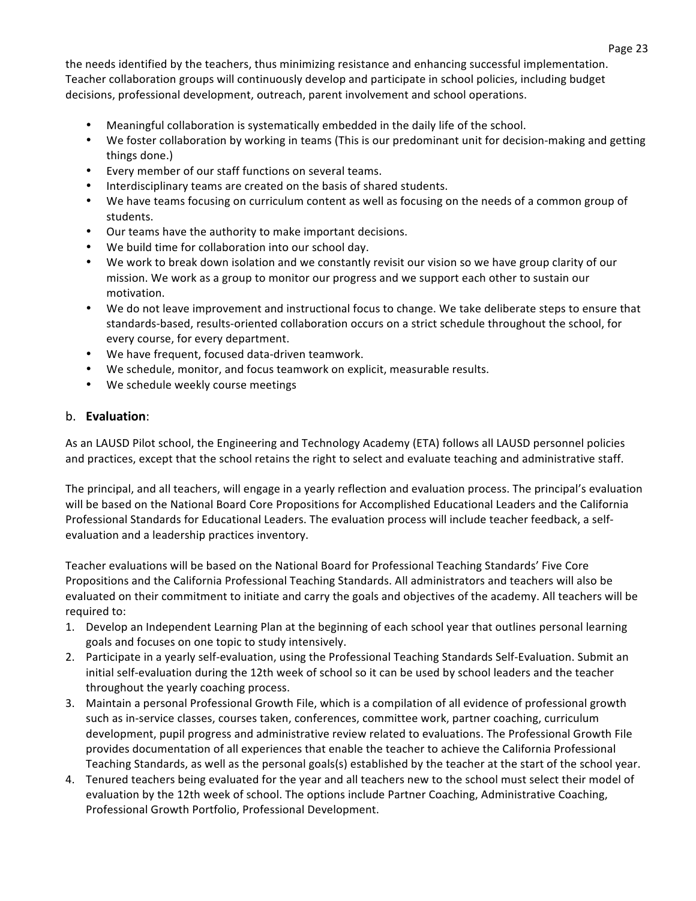the needs identified by the teachers, thus minimizing resistance and enhancing successful implementation. Teacher collaboration groups will continuously develop and participate in school policies, including budget decisions, professional development, outreach, parent involvement and school operations.

- Meaningful collaboration is systematically embedded in the daily life of the school.
- We foster collaboration by working in teams (This is our predominant unit for decision-making and getting things done.)
- Every member of our staff functions on several teams.
- Interdisciplinary teams are created on the basis of shared students.
- We have teams focusing on curriculum content as well as focusing on the needs of a common group of students.
- Our teams have the authority to make important decisions.
- We build time for collaboration into our school day.
- We work to break down isolation and we constantly revisit our vision so we have group clarity of our mission. We work as a group to monitor our progress and we support each other to sustain our motivation.
- We do not leave improvement and instructional focus to change. We take deliberate steps to ensure that standards-based, results-oriented collaboration occurs on a strict schedule throughout the school, for every course, for every department.
- We have frequent, focused data-driven teamwork.
- We schedule, monitor, and focus teamwork on explicit, measurable results.
- We schedule weekly course meetings

## b. **Evaluation:**

As an LAUSD Pilot school, the Engineering and Technology Academy (ETA) follows all LAUSD personnel policies and practices, except that the school retains the right to select and evaluate teaching and administrative staff.

The principal, and all teachers, will engage in a yearly reflection and evaluation process. The principal's evaluation will be based on the National Board Core Propositions for Accomplished Educational Leaders and the California Professional Standards for Educational Leaders. The evaluation process will include teacher feedback, a selfevaluation and a leadership practices inventory.

Teacher evaluations will be based on the National Board for Professional Teaching Standards' Five Core Propositions and the California Professional Teaching Standards. All administrators and teachers will also be evaluated on their commitment to initiate and carry the goals and objectives of the academy. All teachers will be required to:

- 1. Develop an Independent Learning Plan at the beginning of each school year that outlines personal learning goals and focuses on one topic to study intensively.
- 2. Participate in a yearly self-evaluation, using the Professional Teaching Standards Self-Evaluation. Submit an initial self-evaluation during the 12th week of school so it can be used by school leaders and the teacher throughout the yearly coaching process.
- 3. Maintain a personal Professional Growth File, which is a compilation of all evidence of professional growth such as in-service classes, courses taken, conferences, committee work, partner coaching, curriculum development, pupil progress and administrative review related to evaluations. The Professional Growth File provides documentation of all experiences that enable the teacher to achieve the California Professional Teaching Standards, as well as the personal goals(s) established by the teacher at the start of the school year.
- 4. Tenured teachers being evaluated for the year and all teachers new to the school must select their model of evaluation by the 12th week of school. The options include Partner Coaching, Administrative Coaching, Professional Growth Portfolio, Professional Development.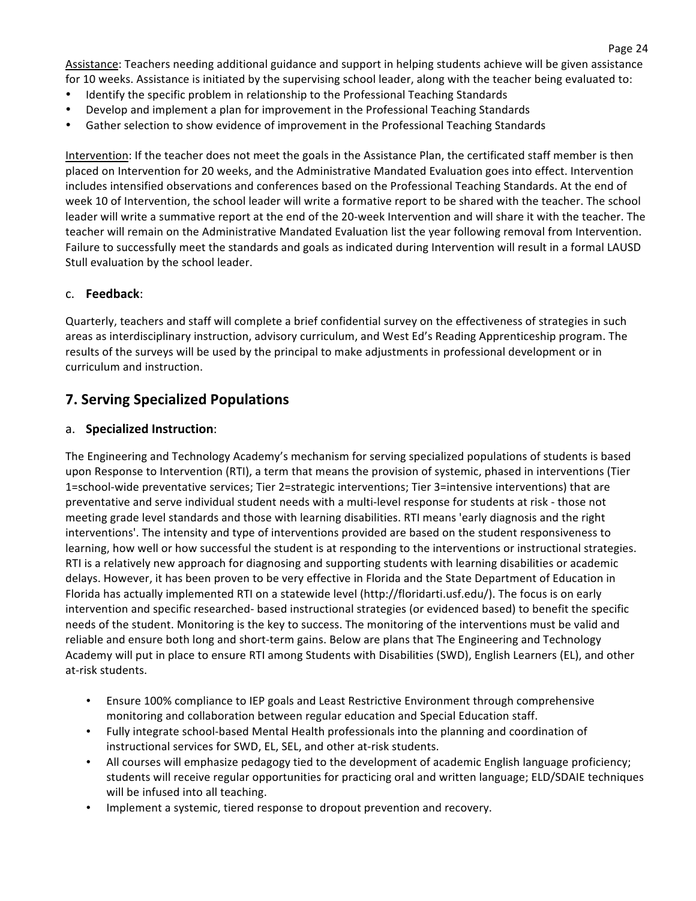Assistance: Teachers needing additional guidance and support in helping students achieve will be given assistance for 10 weeks. Assistance is initiated by the supervising school leader, along with the teacher being evaluated to:

- Identify the specific problem in relationship to the Professional Teaching Standards
- Develop and implement a plan for improvement in the Professional Teaching Standards
- Gather selection to show evidence of improvement in the Professional Teaching Standards

Intervention: If the teacher does not meet the goals in the Assistance Plan, the certificated staff member is then placed on Intervention for 20 weeks, and the Administrative Mandated Evaluation goes into effect. Intervention includes intensified observations and conferences based on the Professional Teaching Standards. At the end of week 10 of Intervention, the school leader will write a formative report to be shared with the teacher. The school leader will write a summative report at the end of the 20-week Intervention and will share it with the teacher. The teacher will remain on the Administrative Mandated Evaluation list the year following removal from Intervention. Failure to successfully meet the standards and goals as indicated during Intervention will result in a formal LAUSD Stull evaluation by the school leader.

### c. **Feedback**:

Quarterly, teachers and staff will complete a brief confidential survey on the effectiveness of strategies in such areas as interdisciplinary instruction, advisory curriculum, and West Ed's Reading Apprenticeship program. The results of the surveys will be used by the principal to make adjustments in professional development or in curriculum and instruction.

# **7. Serving Specialized Populations**

#### a. **Specialized Instruction**:

The Engineering and Technology Academy's mechanism for serving specialized populations of students is based upon Response to Intervention (RTI), a term that means the provision of systemic, phased in interventions (Tier 1=school-wide preventative services; Tier 2=strategic interventions; Tier 3=intensive interventions) that are preventative and serve individual student needs with a multi-level response for students at risk - those not meeting grade level standards and those with learning disabilities. RTI means 'early diagnosis and the right interventions'. The intensity and type of interventions provided are based on the student responsiveness to learning, how well or how successful the student is at responding to the interventions or instructional strategies. RTI is a relatively new approach for diagnosing and supporting students with learning disabilities or academic delays. However, it has been proven to be very effective in Florida and the State Department of Education in Florida has actually implemented RTI on a statewide level (http://floridarti.usf.edu/). The focus is on early intervention and specific researched- based instructional strategies (or evidenced based) to benefit the specific needs of the student. Monitoring is the key to success. The monitoring of the interventions must be valid and reliable and ensure both long and short-term gains. Below are plans that The Engineering and Technology Academy will put in place to ensure RTI among Students with Disabilities (SWD), English Learners (EL), and other at-risk students.

- Ensure 100% compliance to IEP goals and Least Restrictive Environment through comprehensive monitoring and collaboration between regular education and Special Education staff.
- Fully integrate school-based Mental Health professionals into the planning and coordination of instructional services for SWD, EL, SEL, and other at-risk students.
- All courses will emphasize pedagogy tied to the development of academic English language proficiency; students will receive regular opportunities for practicing oral and written language; ELD/SDAIE techniques will be infused into all teaching.
- Implement a systemic, tiered response to dropout prevention and recovery.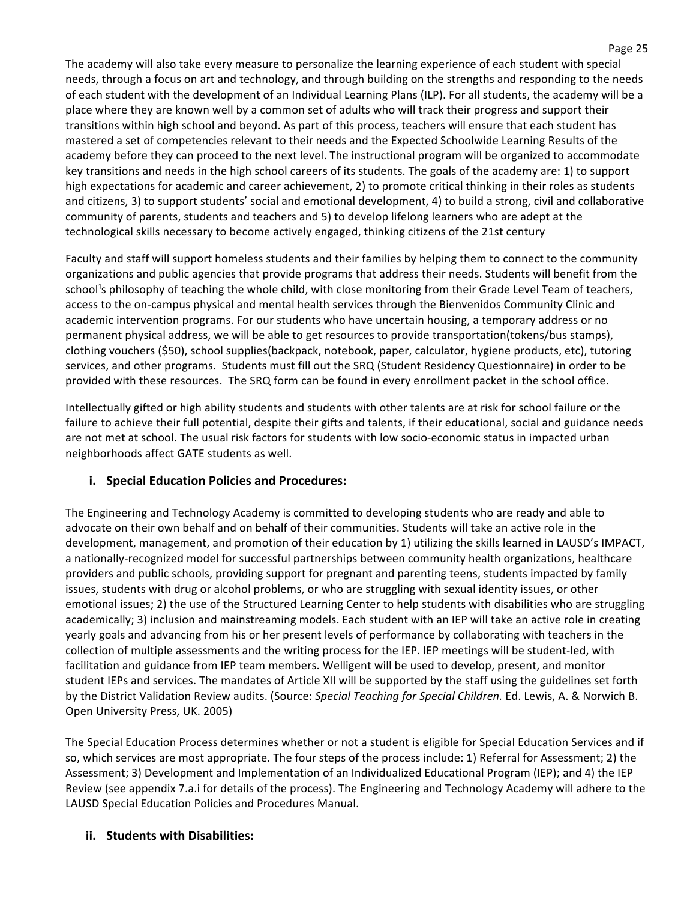The academy will also take every measure to personalize the learning experience of each student with special needs, through a focus on art and technology, and through building on the strengths and responding to the needs of each student with the development of an Individual Learning Plans (ILP). For all students, the academy will be a place where they are known well by a common set of adults who will track their progress and support their transitions within high school and beyond. As part of this process, teachers will ensure that each student has mastered a set of competencies relevant to their needs and the Expected Schoolwide Learning Results of the academy before they can proceed to the next level. The instructional program will be organized to accommodate key transitions and needs in the high school careers of its students. The goals of the academy are: 1) to support high expectations for academic and career achievement, 2) to promote critical thinking in their roles as students and citizens, 3) to support students' social and emotional development, 4) to build a strong, civil and collaborative community of parents, students and teachers and 5) to develop lifelong learners who are adept at the technological skills necessary to become actively engaged, thinking citizens of the 21st century

Faculty and staff will support homeless students and their families by helping them to connect to the community organizations and public agencies that provide programs that address their needs. Students will benefit from the school's philosophy of teaching the whole child, with close monitoring from their Grade Level Team of teachers, access to the on-campus physical and mental health services through the Bienvenidos Community Clinic and academic intervention programs. For our students who have uncertain housing, a temporary address or no permanent physical address, we will be able to get resources to provide transportation(tokens/bus stamps), clothing vouchers (\$50), school supplies(backpack, notebook, paper, calculator, hygiene products, etc), tutoring services, and other programs. Students must fill out the SRQ (Student Residency Questionnaire) in order to be provided with these resources. The SRQ form can be found in every enrollment packet in the school office.

Intellectually gifted or high ability students and students with other talents are at risk for school failure or the failure to achieve their full potential, despite their gifts and talents, if their educational, social and guidance needs are not met at school. The usual risk factors for students with low socio-economic status in impacted urban neighborhoods affect GATE students as well.

# **i.** Special Education Policies and Procedures:

The Engineering and Technology Academy is committed to developing students who are ready and able to advocate on their own behalf and on behalf of their communities. Students will take an active role in the development, management, and promotion of their education by 1) utilizing the skills learned in LAUSD's IMPACT, a nationally-recognized model for successful partnerships between community health organizations, healthcare providers and public schools, providing support for pregnant and parenting teens, students impacted by family issues, students with drug or alcohol problems, or who are struggling with sexual identity issues, or other emotional issues; 2) the use of the Structured Learning Center to help students with disabilities who are struggling academically; 3) inclusion and mainstreaming models. Each student with an IEP will take an active role in creating yearly goals and advancing from his or her present levels of performance by collaborating with teachers in the collection of multiple assessments and the writing process for the IEP. IEP meetings will be student-led, with facilitation and guidance from IEP team members. Welligent will be used to develop, present, and monitor student IEPs and services. The mandates of Article XII will be supported by the staff using the guidelines set forth by the District Validation Review audits. (Source: Special Teaching for Special Children. Ed. Lewis, A. & Norwich B. Open University Press, UK. 2005)

The Special Education Process determines whether or not a student is eligible for Special Education Services and if so, which services are most appropriate. The four steps of the process include: 1) Referral for Assessment; 2) the Assessment; 3) Development and Implementation of an Individualized Educational Program (IEP); and 4) the IEP Review (see appendix 7.a.i for details of the process). The Engineering and Technology Academy will adhere to the LAUSD Special Education Policies and Procedures Manual.

# **ii.** Students with Disabilities: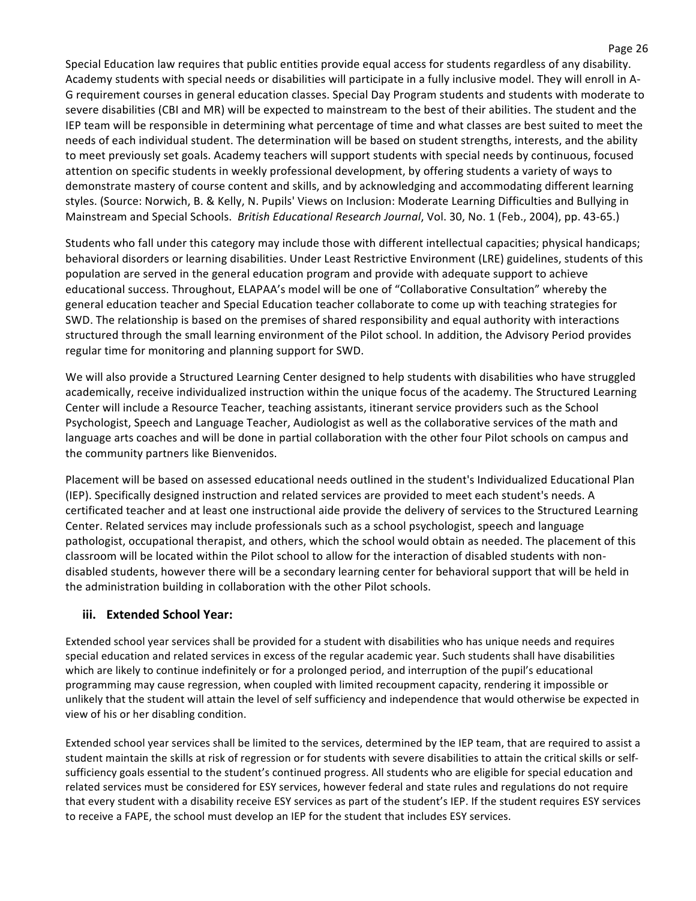Special Education law requires that public entities provide equal access for students regardless of any disability. Academy students with special needs or disabilities will participate in a fully inclusive model. They will enroll in A-G requirement courses in general education classes. Special Day Program students and students with moderate to severe disabilities (CBI and MR) will be expected to mainstream to the best of their abilities. The student and the IEP team will be responsible in determining what percentage of time and what classes are best suited to meet the needs of each individual student. The determination will be based on student strengths, interests, and the ability to meet previously set goals. Academy teachers will support students with special needs by continuous, focused attention on specific students in weekly professional development, by offering students a variety of ways to demonstrate mastery of course content and skills, and by acknowledging and accommodating different learning styles. (Source: Norwich, B. & Kelly, N. Pupils' Views on Inclusion: Moderate Learning Difficulties and Bullying in Mainstream and Special Schools. *British Educational Research Journal*, Vol. 30, No. 1 (Feb., 2004), pp. 43-65.)

Students who fall under this category may include those with different intellectual capacities; physical handicaps; behavioral disorders or learning disabilities. Under Least Restrictive Environment (LRE) guidelines, students of this population are served in the general education program and provide with adequate support to achieve educational success. Throughout, ELAPAA's model will be one of "Collaborative Consultation" whereby the general education teacher and Special Education teacher collaborate to come up with teaching strategies for SWD. The relationship is based on the premises of shared responsibility and equal authority with interactions structured through the small learning environment of the Pilot school. In addition, the Advisory Period provides regular time for monitoring and planning support for SWD.

We will also provide a Structured Learning Center designed to help students with disabilities who have struggled academically, receive individualized instruction within the unique focus of the academy. The Structured Learning Center will include a Resource Teacher, teaching assistants, itinerant service providers such as the School Psychologist, Speech and Language Teacher, Audiologist as well as the collaborative services of the math and language arts coaches and will be done in partial collaboration with the other four Pilot schools on campus and the community partners like Bienvenidos.

Placement will be based on assessed educational needs outlined in the student's Individualized Educational Plan (IEP). Specifically designed instruction and related services are provided to meet each student's needs. A certificated teacher and at least one instructional aide provide the delivery of services to the Structured Learning Center. Related services may include professionals such as a school psychologist, speech and language pathologist, occupational therapist, and others, which the school would obtain as needed. The placement of this classroom will be located within the Pilot school to allow for the interaction of disabled students with nondisabled students, however there will be a secondary learning center for behavioral support that will be held in the administration building in collaboration with the other Pilot schools.

# **iii.** Extended School Year:

Extended school year services shall be provided for a student with disabilities who has unique needs and requires special education and related services in excess of the regular academic year. Such students shall have disabilities which are likely to continue indefinitely or for a prolonged period, and interruption of the pupil's educational programming may cause regression, when coupled with limited recoupment capacity, rendering it impossible or unlikely that the student will attain the level of self sufficiency and independence that would otherwise be expected in view of his or her disabling condition.

Extended school year services shall be limited to the services, determined by the IEP team, that are required to assist a student maintain the skills at risk of regression or for students with severe disabilities to attain the critical skills or selfsufficiency goals essential to the student's continued progress. All students who are eligible for special education and related services must be considered for ESY services, however federal and state rules and regulations do not require that every student with a disability receive ESY services as part of the student's IEP. If the student requires ESY services to receive a FAPE, the school must develop an IEP for the student that includes ESY services.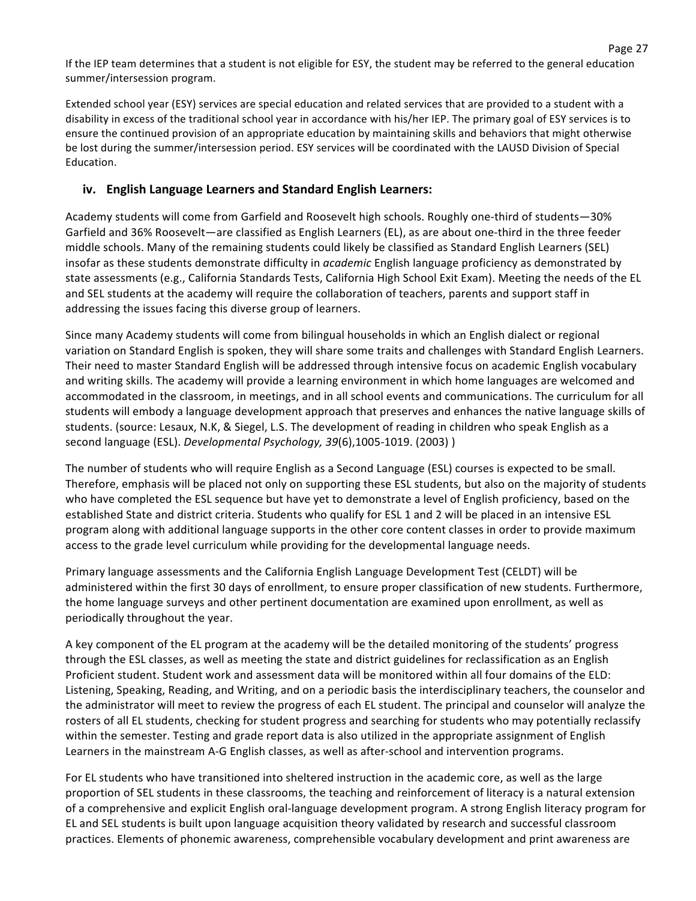If the IEP team determines that a student is not eligible for ESY, the student may be referred to the general education summer/intersession program.

Page 27

Extended school year (ESY) services are special education and related services that are provided to a student with a disability in excess of the traditional school year in accordance with his/her IEP. The primary goal of ESY services is to ensure the continued provision of an appropriate education by maintaining skills and behaviors that might otherwise be lost during the summer/intersession period. ESY services will be coordinated with the LAUSD Division of Special Education.

# iv. **English Language Learners and Standard English Learners:**

Academy students will come from Garfield and Roosevelt high schools. Roughly one-third of students—30% Garfield and 36% Roosevelt—are classified as English Learners (EL), as are about one-third in the three feeder middle schools. Many of the remaining students could likely be classified as Standard English Learners (SEL) insofar as these students demonstrate difficulty in *academic* English language proficiency as demonstrated by state assessments (e.g., California Standards Tests, California High School Exit Exam). Meeting the needs of the EL and SEL students at the academy will require the collaboration of teachers, parents and support staff in addressing the issues facing this diverse group of learners.

Since many Academy students will come from bilingual households in which an English dialect or regional variation on Standard English is spoken, they will share some traits and challenges with Standard English Learners. Their need to master Standard English will be addressed through intensive focus on academic English vocabulary and writing skills. The academy will provide a learning environment in which home languages are welcomed and accommodated in the classroom, in meetings, and in all school events and communications. The curriculum for all students will embody a language development approach that preserves and enhances the native language skills of students. (source: Lesaux, N.K, & Siegel, L.S. The development of reading in children who speak English as a second language (ESL). *Developmental Psychology, 39*(6),1005-1019. (2003))

The number of students who will require English as a Second Language (ESL) courses is expected to be small. Therefore, emphasis will be placed not only on supporting these ESL students, but also on the majority of students who have completed the ESL sequence but have yet to demonstrate a level of English proficiency, based on the established State and district criteria. Students who qualify for ESL 1 and 2 will be placed in an intensive ESL program along with additional language supports in the other core content classes in order to provide maximum access to the grade level curriculum while providing for the developmental language needs.

Primary language assessments and the California English Language Development Test (CELDT) will be administered within the first 30 days of enrollment, to ensure proper classification of new students. Furthermore, the home language surveys and other pertinent documentation are examined upon enrollment, as well as periodically throughout the year.

A key component of the EL program at the academy will be the detailed monitoring of the students' progress through the ESL classes, as well as meeting the state and district guidelines for reclassification as an English Proficient student. Student work and assessment data will be monitored within all four domains of the ELD: Listening, Speaking, Reading, and Writing, and on a periodic basis the interdisciplinary teachers, the counselor and the administrator will meet to review the progress of each EL student. The principal and counselor will analyze the rosters of all EL students, checking for student progress and searching for students who may potentially reclassify within the semester. Testing and grade report data is also utilized in the appropriate assignment of English Learners in the mainstream A-G English classes, as well as after-school and intervention programs.

For EL students who have transitioned into sheltered instruction in the academic core, as well as the large proportion of SEL students in these classrooms, the teaching and reinforcement of literacy is a natural extension of a comprehensive and explicit English oral-language development program. A strong English literacy program for EL and SEL students is built upon language acquisition theory validated by research and successful classroom practices. Elements of phonemic awareness, comprehensible vocabulary development and print awareness are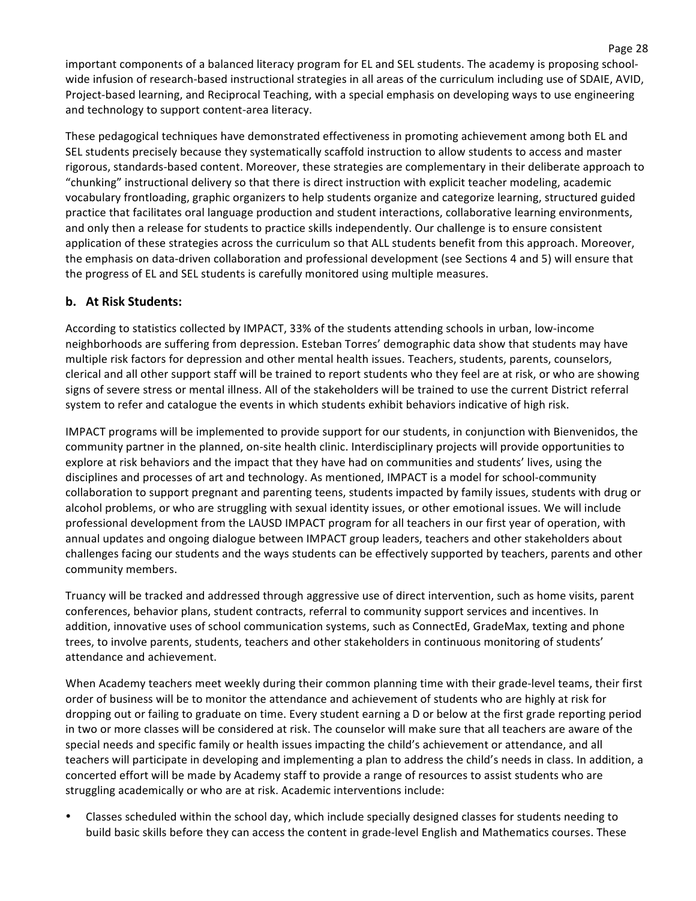important components of a balanced literacy program for EL and SEL students. The academy is proposing schoolwide infusion of research-based instructional strategies in all areas of the curriculum including use of SDAIE, AVID, Project-based learning, and Reciprocal Teaching, with a special emphasis on developing ways to use engineering and technology to support content-area literacy.

These pedagogical techniques have demonstrated effectiveness in promoting achievement among both EL and SEL students precisely because they systematically scaffold instruction to allow students to access and master rigorous, standards-based content. Moreover, these strategies are complementary in their deliberate approach to "chunking" instructional delivery so that there is direct instruction with explicit teacher modeling, academic vocabulary frontloading, graphic organizers to help students organize and categorize learning, structured guided practice that facilitates oral language production and student interactions, collaborative learning environments, and only then a release for students to practice skills independently. Our challenge is to ensure consistent application of these strategies across the curriculum so that ALL students benefit from this approach. Moreover, the emphasis on data-driven collaboration and professional development (see Sections 4 and 5) will ensure that the progress of EL and SEL students is carefully monitored using multiple measures.

## **b.** At Risk Students:

According to statistics collected by IMPACT, 33% of the students attending schools in urban, low-income neighborhoods are suffering from depression. Esteban Torres' demographic data show that students may have multiple risk factors for depression and other mental health issues. Teachers, students, parents, counselors, clerical and all other support staff will be trained to report students who they feel are at risk, or who are showing signs of severe stress or mental illness. All of the stakeholders will be trained to use the current District referral system to refer and catalogue the events in which students exhibit behaviors indicative of high risk.

IMPACT programs will be implemented to provide support for our students, in conjunction with Bienvenidos, the community partner in the planned, on-site health clinic. Interdisciplinary projects will provide opportunities to explore at risk behaviors and the impact that they have had on communities and students' lives, using the disciplines and processes of art and technology. As mentioned, IMPACT is a model for school-community collaboration to support pregnant and parenting teens, students impacted by family issues, students with drug or alcohol problems, or who are struggling with sexual identity issues, or other emotional issues. We will include professional development from the LAUSD IMPACT program for all teachers in our first year of operation, with annual updates and ongoing dialogue between IMPACT group leaders, teachers and other stakeholders about challenges facing our students and the ways students can be effectively supported by teachers, parents and other community members.

Truancy will be tracked and addressed through aggressive use of direct intervention, such as home visits, parent conferences, behavior plans, student contracts, referral to community support services and incentives. In addition, innovative uses of school communication systems, such as ConnectEd, GradeMax, texting and phone trees, to involve parents, students, teachers and other stakeholders in continuous monitoring of students' attendance and achievement.

When Academy teachers meet weekly during their common planning time with their grade-level teams, their first order of business will be to monitor the attendance and achievement of students who are highly at risk for dropping out or failing to graduate on time. Every student earning a D or below at the first grade reporting period in two or more classes will be considered at risk. The counselor will make sure that all teachers are aware of the special needs and specific family or health issues impacting the child's achievement or attendance, and all teachers will participate in developing and implementing a plan to address the child's needs in class. In addition, a concerted effort will be made by Academy staff to provide a range of resources to assist students who are struggling academically or who are at risk. Academic interventions include:

Classes scheduled within the school day, which include specially designed classes for students needing to build basic skills before they can access the content in grade-level English and Mathematics courses. These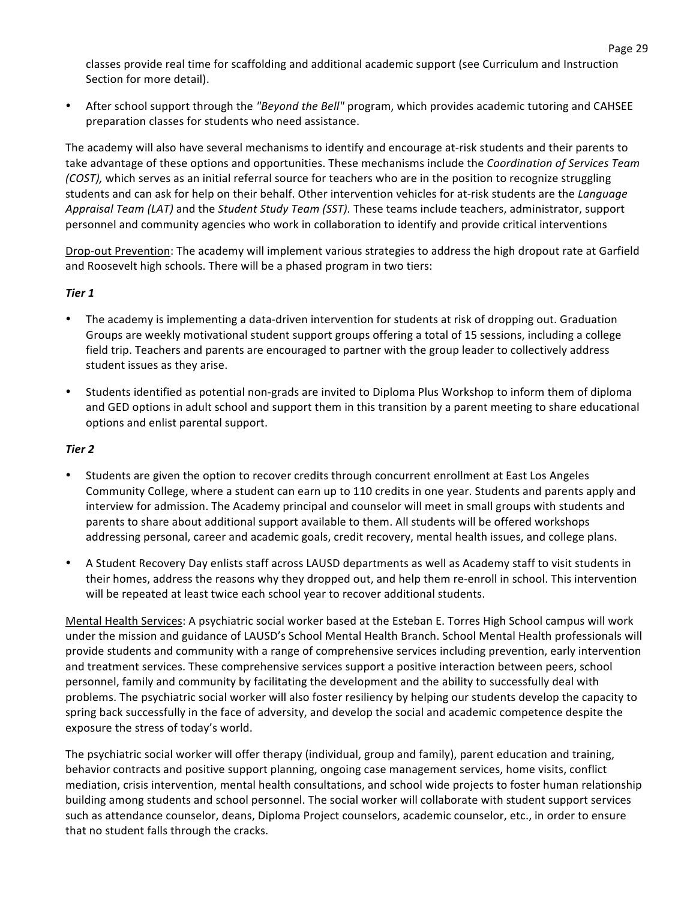classes provide real time for scaffolding and additional academic support (see Curriculum and Instruction Section for more detail).

• After school support through the "Beyond the Bell" program, which provides academic tutoring and CAHSEE preparation classes for students who need assistance.

The academy will also have several mechanisms to identify and encourage at-risk students and their parents to take advantage of these options and opportunities. These mechanisms include the *Coordination of Services Team (COST),* which serves as an initial referral source for teachers who are in the position to recognize struggling students and can ask for help on their behalf. Other intervention vehicles for at-risk students are the Language Appraisal Team (LAT) and the *Student Study Team (SST)*. These teams include teachers, administrator, support personnel and community agencies who work in collaboration to identify and provide critical interventions

Drop-out Prevention: The academy will implement various strategies to address the high dropout rate at Garfield and Roosevelt high schools. There will be a phased program in two tiers:

#### *Tier\*1*

- The academy is implementing a data-driven intervention for students at risk of dropping out. Graduation Groups are weekly motivational student support groups offering a total of 15 sessions, including a college field trip. Teachers and parents are encouraged to partner with the group leader to collectively address student issues as they arise.
- Students identified as potential non-grads are invited to Diploma Plus Workshop to inform them of diploma and GED options in adult school and support them in this transition by a parent meeting to share educational options and enlist parental support.

#### *Tier\*2*

- Students are given the option to recover credits through concurrent enrollment at East Los Angeles Community College, where a student can earn up to 110 credits in one year. Students and parents apply and interview for admission. The Academy principal and counselor will meet in small groups with students and parents to share about additional support available to them. All students will be offered workshops addressing personal, career and academic goals, credit recovery, mental health issues, and college plans.
- A Student Recovery Day enlists staff across LAUSD departments as well as Academy staff to visit students in their homes, address the reasons why they dropped out, and help them re-enroll in school. This intervention will be repeated at least twice each school year to recover additional students.

Mental Health Services: A psychiatric social worker based at the Esteban E. Torres High School campus will work under the mission and guidance of LAUSD's School Mental Health Branch. School Mental Health professionals will provide students and community with a range of comprehensive services including prevention, early intervention and treatment services. These comprehensive services support a positive interaction between peers, school personnel, family and community by facilitating the development and the ability to successfully deal with problems. The psychiatric social worker will also foster resiliency by helping our students develop the capacity to spring back successfully in the face of adversity, and develop the social and academic competence despite the exposure the stress of today's world.

The psychiatric social worker will offer therapy (individual, group and family), parent education and training, behavior contracts and positive support planning, ongoing case management services, home visits, conflict mediation, crisis intervention, mental health consultations, and school wide projects to foster human relationship building among students and school personnel. The social worker will collaborate with student support services such as attendance counselor, deans, Diploma Project counselors, academic counselor, etc., in order to ensure that no student falls through the cracks.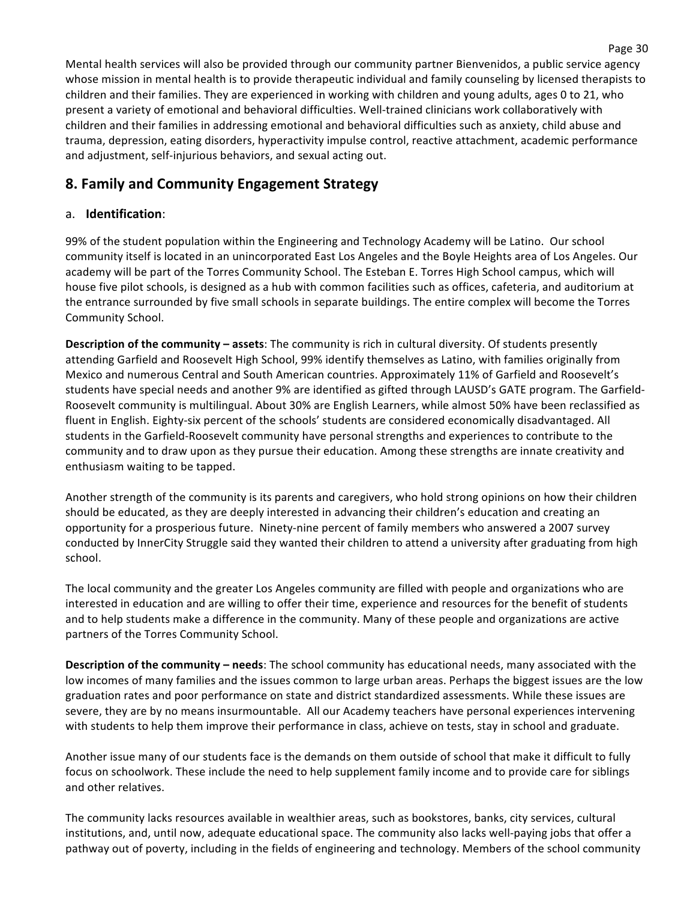Mental health services will also be provided through our community partner Bienvenidos, a public service agency whose mission in mental health is to provide therapeutic individual and family counseling by licensed therapists to children and their families. They are experienced in working with children and young adults, ages 0 to 21, who present a variety of emotional and behavioral difficulties. Well-trained clinicians work collaboratively with children and their families in addressing emotional and behavioral difficulties such as anxiety, child abuse and trauma, depression, eating disorders, hyperactivity impulse control, reactive attachment, academic performance and adjustment, self-injurious behaviors, and sexual acting out.

# **8. Family and Community Engagement Strategy**

## a. **Identification**:

99% of the student population within the Engineering and Technology Academy will be Latino. Our school community itself is located in an unincorporated East Los Angeles and the Boyle Heights area of Los Angeles. Our academy will be part of the Torres Community School. The Esteban E. Torres High School campus, which will house five pilot schools, is designed as a hub with common facilities such as offices, cafeteria, and auditorium at the entrance surrounded by five small schools in separate buildings. The entire complex will become the Torres Community School.

**Description of the community – assets**: The community is rich in cultural diversity. Of students presently attending Garfield and Roosevelt High School, 99% identify themselves as Latino, with families originally from Mexico and numerous Central and South American countries. Approximately 11% of Garfield and Roosevelt's students have special needs and another 9% are identified as gifted through LAUSD's GATE program. The Garfield-Roosevelt community is multilingual. About 30% are English Learners, while almost 50% have been reclassified as fluent in English. Eighty-six percent of the schools' students are considered economically disadvantaged. All students in the Garfield-Roosevelt community have personal strengths and experiences to contribute to the community and to draw upon as they pursue their education. Among these strengths are innate creativity and enthusiasm waiting to be tapped.

Another strength of the community is its parents and caregivers, who hold strong opinions on how their children should be educated, as they are deeply interested in advancing their children's education and creating an opportunity for a prosperious future. Ninety-nine percent of family members who answered a 2007 survey conducted by InnerCity Struggle said they wanted their children to attend a university after graduating from high school.

The local community and the greater Los Angeles community are filled with people and organizations who are interested in education and are willing to offer their time, experience and resources for the benefit of students and to help students make a difference in the community. Many of these people and organizations are active partners of the Torres Community School.

**Description of the community – needs**: The school community has educational needs, many associated with the low incomes of many families and the issues common to large urban areas. Perhaps the biggest issues are the low graduation rates and poor performance on state and district standardized assessments. While these issues are severe, they are by no means insurmountable. All our Academy teachers have personal experiences intervening with students to help them improve their performance in class, achieve on tests, stay in school and graduate.

Another issue many of our students face is the demands on them outside of school that make it difficult to fully focus on schoolwork. These include the need to help supplement family income and to provide care for siblings and other relatives.

The community lacks resources available in wealthier areas, such as bookstores, banks, city services, cultural institutions, and, until now, adequate educational space. The community also lacks well-paying jobs that offer a pathway out of poverty, including in the fields of engineering and technology. Members of the school community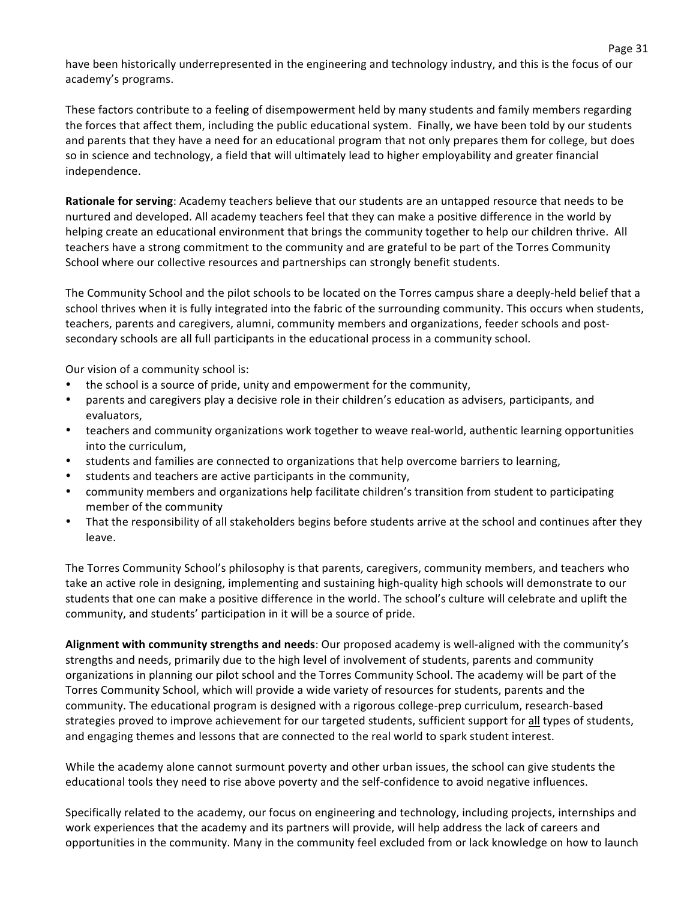have been historically underrepresented in the engineering and technology industry, and this is the focus of our academy's programs.

These factors contribute to a feeling of disempowerment held by many students and family members regarding the forces that affect them, including the public educational system. Finally, we have been told by our students and parents that they have a need for an educational program that not only prepares them for college, but does so in science and technology, a field that will ultimately lead to higher employability and greater financial independence.

**Rationale for serving**: Academy teachers believe that our students are an untapped resource that needs to be nurtured and developed. All academy teachers feel that they can make a positive difference in the world by helping create an educational environment that brings the community together to help our children thrive. All teachers have a strong commitment to the community and are grateful to be part of the Torres Community School where our collective resources and partnerships can strongly benefit students.

The Community School and the pilot schools to be located on the Torres campus share a deeply-held belief that a school thrives when it is fully integrated into the fabric of the surrounding community. This occurs when students, teachers, parents and caregivers, alumni, community members and organizations, feeder schools and postsecondary schools are all full participants in the educational process in a community school.

Our vision of a community school is:

- the school is a source of pride, unity and empowerment for the community,
- parents and caregivers play a decisive role in their children's education as advisers, participants, and evaluators,
- teachers and community organizations work together to weave real-world, authentic learning opportunities into the curriculum,
- students and families are connected to organizations that help overcome barriers to learning,
- students and teachers are active participants in the community,
- community members and organizations help facilitate children's transition from student to participating member of the community
- That the responsibility of all stakeholders begins before students arrive at the school and continues after they leave.

The Torres Community School's philosophy is that parents, caregivers, community members, and teachers who take an active role in designing, implementing and sustaining high-quality high schools will demonstrate to our students that one can make a positive difference in the world. The school's culture will celebrate and uplift the community, and students' participation in it will be a source of pride.

Alignment with community strengths and needs: Our proposed academy is well-aligned with the community's strengths and needs, primarily due to the high level of involvement of students, parents and community organizations in planning our pilot school and the Torres Community School. The academy will be part of the Torres Community School, which will provide a wide variety of resources for students, parents and the community. The educational program is designed with a rigorous college-prep curriculum, research-based strategies proved to improve achievement for our targeted students, sufficient support for all types of students, and engaging themes and lessons that are connected to the real world to spark student interest.

While the academy alone cannot surmount poverty and other urban issues, the school can give students the educational tools they need to rise above poverty and the self-confidence to avoid negative influences.

Specifically related to the academy, our focus on engineering and technology, including projects, internships and work experiences that the academy and its partners will provide, will help address the lack of careers and opportunities in the community. Many in the community feel excluded from or lack knowledge on how to launch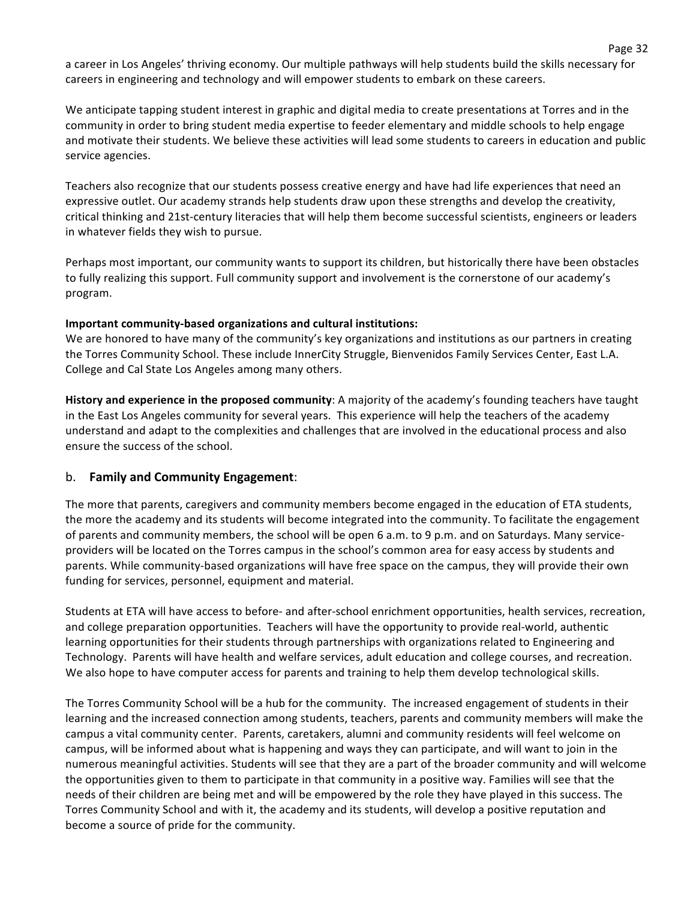a career in Los Angeles' thriving economy. Our multiple pathways will help students build the skills necessary for careers in engineering and technology and will empower students to embark on these careers.

We anticipate tapping student interest in graphic and digital media to create presentations at Torres and in the community in order to bring student media expertise to feeder elementary and middle schools to help engage and motivate their students. We believe these activities will lead some students to careers in education and public service agencies.

Teachers also recognize that our students possess creative energy and have had life experiences that need an expressive outlet. Our academy strands help students draw upon these strengths and develop the creativity, critical thinking and 21st-century literacies that will help them become successful scientists, engineers or leaders in whatever fields they wish to pursue.

Perhaps most important, our community wants to support its children, but historically there have been obstacles to fully realizing this support. Full community support and involvement is the cornerstone of our academy's program.!

#### Important community-based organizations and cultural institutions:

We are honored to have many of the community's key organizations and institutions as our partners in creating the Torres Community School. These include InnerCity Struggle, Bienvenidos Family Services Center, East L.A. College and Cal State Los Angeles among many others.

History and experience in the proposed community: A majority of the academy's founding teachers have taught in the East Los Angeles community for several years. This experience will help the teachers of the academy understand and adapt to the complexities and challenges that are involved in the educational process and also ensure the success of the school.

### b. **Family and Community Engagement:**

The more that parents, caregivers and community members become engaged in the education of ETA students, the more the academy and its students will become integrated into the community. To facilitate the engagement of parents and community members, the school will be open 6 a.m. to 9 p.m. and on Saturdays. Many serviceproviders will be located on the Torres campus in the school's common area for easy access by students and parents. While community-based organizations will have free space on the campus, they will provide their own funding for services, personnel, equipment and material.

Students at ETA will have access to before- and after-school enrichment opportunities, health services, recreation, and college preparation opportunities. Teachers will have the opportunity to provide real-world, authentic learning opportunities for their students through partnerships with organizations related to Engineering and Technology. Parents will have health and welfare services, adult education and college courses, and recreation. We also hope to have computer access for parents and training to help them develop technological skills.

The Torres Community School will be a hub for the community. The increased engagement of students in their learning and the increased connection among students, teachers, parents and community members will make the campus a vital community center. Parents, caretakers, alumni and community residents will feel welcome on campus, will be informed about what is happening and ways they can participate, and will want to join in the numerous meaningful activities. Students will see that they are a part of the broader community and will welcome the opportunities given to them to participate in that community in a positive way. Families will see that the needs of their children are being met and will be empowered by the role they have played in this success. The Torres Community School and with it, the academy and its students, will develop a positive reputation and become a source of pride for the community.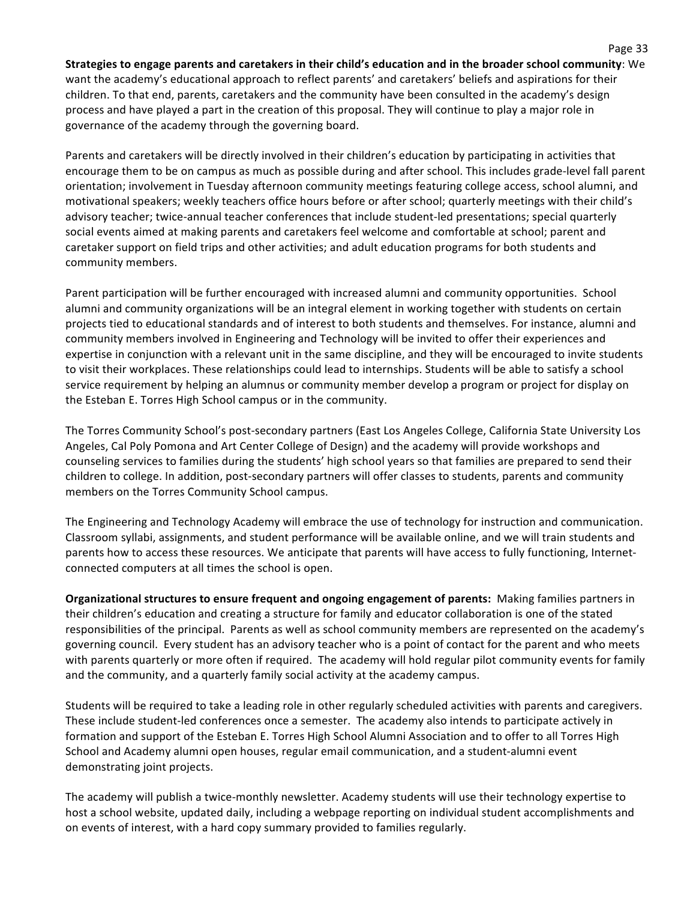Strategies to engage parents and caretakers in their child's education and in the broader school community: We want the academy's educational approach to reflect parents' and caretakers' beliefs and aspirations for their children. To that end, parents, caretakers and the community have been consulted in the academy's design process and have played a part in the creation of this proposal. They will continue to play a major role in governance of the academy through the governing board.

Parents and caretakers will be directly involved in their children's education by participating in activities that encourage them to be on campus as much as possible during and after school. This includes grade-level fall parent orientation; involvement in Tuesday afternoon community meetings featuring college access, school alumni, and motivational speakers; weekly teachers office hours before or after school; quarterly meetings with their child's advisory teacher; twice-annual teacher conferences that include student-led presentations; special quarterly social events aimed at making parents and caretakers feel welcome and comfortable at school; parent and caretaker support on field trips and other activities; and adult education programs for both students and community members.

Parent participation will be further encouraged with increased alumni and community opportunities. School alumni and community organizations will be an integral element in working together with students on certain projects tied to educational standards and of interest to both students and themselves. For instance, alumni and community members involved in Engineering and Technology will be invited to offer their experiences and expertise in conjunction with a relevant unit in the same discipline, and they will be encouraged to invite students to visit their workplaces. These relationships could lead to internships. Students will be able to satisfy a school service requirement by helping an alumnus or community member develop a program or project for display on the Esteban E. Torres High School campus or in the community.

The Torres Community School's post-secondary partners (East Los Angeles College, California State University Los Angeles, Cal Poly Pomona and Art Center College of Design) and the academy will provide workshops and counseling services to families during the students' high school years so that families are prepared to send their children to college. In addition, post-secondary partners will offer classes to students, parents and community members on the Torres Community School campus.

The Engineering and Technology Academy will embrace the use of technology for instruction and communication. Classroom syllabi, assignments, and student performance will be available online, and we will train students and parents how to access these resources. We anticipate that parents will have access to fully functioning, Internetconnected computers at all times the school is open.

**Organizational structures to ensure frequent and ongoing engagement of parents:** Making families partners in their children's education and creating a structure for family and educator collaboration is one of the stated responsibilities of the principal. Parents as well as school community members are represented on the academy's governing council. Every student has an advisory teacher who is a point of contact for the parent and who meets with parents quarterly or more often if required. The academy will hold regular pilot community events for family and the community, and a quarterly family social activity at the academy campus.

Students will be required to take a leading role in other regularly scheduled activities with parents and caregivers. These include student-led conferences once a semester. The academy also intends to participate actively in formation and support of the Esteban E. Torres High School Alumni Association and to offer to all Torres High School and Academy alumni open houses, regular email communication, and a student-alumni event demonstrating joint projects.

The academy will publish a twice-monthly newsletter. Academy students will use their technology expertise to host a school website, updated daily, including a webpage reporting on individual student accomplishments and on events of interest, with a hard copy summary provided to families regularly.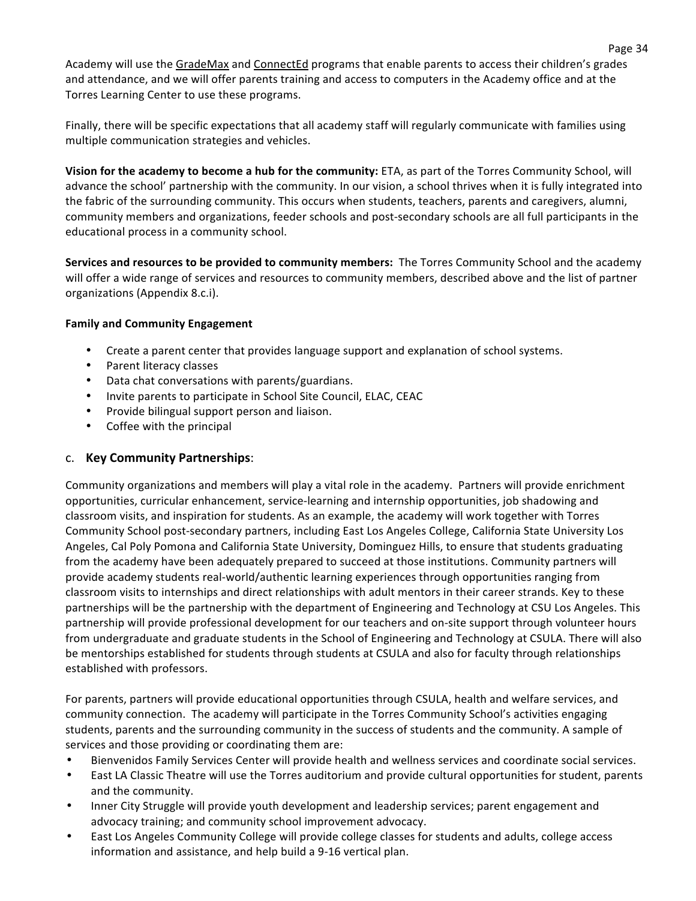Academy will use the GradeMax and ConnectEd programs that enable parents to access their children's grades and attendance, and we will offer parents training and access to computers in the Academy office and at the Torres Learning Center to use these programs.

Finally, there will be specific expectations that all academy staff will regularly communicate with families using multiple communication strategies and vehicles.

**Vision for the academy to become a hub for the community:** ETA, as part of the Torres Community School, will advance the school' partnership with the community. In our vision, a school thrives when it is fully integrated into the fabric of the surrounding community. This occurs when students, teachers, parents and caregivers, alumni, community members and organizations, feeder schools and post-secondary schools are all full participants in the educational process in a community school.

Services and resources to be provided to community members: The Torres Community School and the academy will offer a wide range of services and resources to community members, described above and the list of partner organizations (Appendix 8.c.i).

#### **Family and Community Engagement**

- Create a parent center that provides language support and explanation of school systems.
- Parent literacy classes
- Data chat conversations with parents/guardians.
- Invite parents to participate in School Site Council, ELAC, CEAC
- Provide bilingual support person and liaison.
- Coffee with the principal

## c. **Key(Community(Partnerships**:

Community organizations and members will play a vital role in the academy. Partners will provide enrichment opportunities, curricular enhancement, service-learning and internship opportunities, job shadowing and classroom visits, and inspiration for students. As an example, the academy will work together with Torres Community School post-secondary partners, including East Los Angeles College, California State University Los Angeles, Cal Poly Pomona and California State University, Dominguez Hills, to ensure that students graduating from the academy have been adequately prepared to succeed at those institutions. Community partners will provide academy students real-world/authentic learning experiences through opportunities ranging from classroom visits to internships and direct relationships with adult mentors in their career strands. Key to these partnerships will be the partnership with the department of Engineering and Technology at CSU Los Angeles. This partnership will provide professional development for our teachers and on-site support through volunteer hours from undergraduate and graduate students in the School of Engineering and Technology at CSULA. There will also be mentorships established for students through students at CSULA and also for faculty through relationships established with professors.

For parents, partners will provide educational opportunities through CSULA, health and welfare services, and community connection. The academy will participate in the Torres Community School's activities engaging students, parents and the surrounding community in the success of students and the community. A sample of services and those providing or coordinating them are:

- Bienvenidos Family Services Center will provide health and wellness services and coordinate social services.
- East LA Classic Theatre will use the Torres auditorium and provide cultural opportunities for student, parents and the community.
- Inner City Struggle will provide youth development and leadership services; parent engagement and advocacy training; and community school improvement advocacy.
- East Los Angeles Community College will provide college classes for students and adults, college access information and assistance, and help build a 9-16 vertical plan.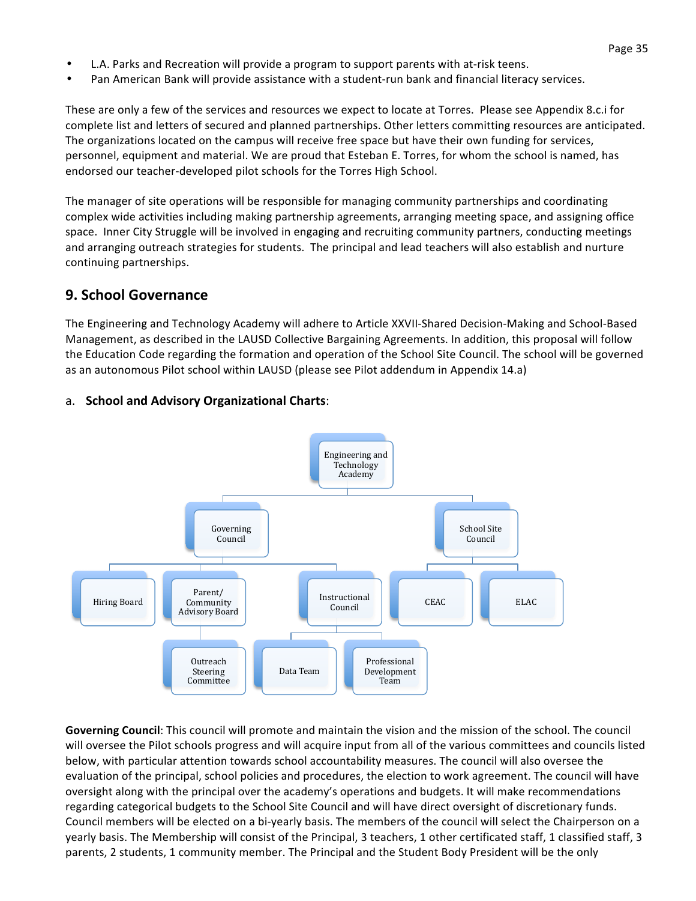- L.A. Parks and Recreation will provide a program to support parents with at-risk teens.
- Pan American Bank will provide assistance with a student-run bank and financial literacy services.

These are only a few of the services and resources we expect to locate at Torres. Please see Appendix 8.c.i for complete list and letters of secured and planned partnerships. Other letters committing resources are anticipated. The organizations located on the campus will receive free space but have their own funding for services, personnel, equipment and material. We are proud that Esteban E. Torres, for whom the school is named, has endorsed our teacher-developed pilot schools for the Torres High School.

The manager of site operations will be responsible for managing community partnerships and coordinating complex wide activities including making partnership agreements, arranging meeting space, and assigning office space. Inner City Struggle will be involved in engaging and recruiting community partners, conducting meetings and arranging outreach strategies for students. The principal and lead teachers will also establish and nurture continuing partnerships.

# **9. School Governance**

The Engineering and Technology Academy will adhere to Article XXVII-Shared Decision-Making and School-Based Management, as described in the LAUSD Collective Bargaining Agreements. In addition, this proposal will follow the Education Code regarding the formation and operation of the School Site Council. The school will be governed as an autonomous Pilot school within LAUSD (please see Pilot addendum in Appendix 14.a)



## a. **School and Advisory Organizational Charts:**

**Governing Council**: This council will promote and maintain the vision and the mission of the school. The council will oversee the Pilot schools progress and will acquire input from all of the various committees and councils listed below, with particular attention towards school accountability measures. The council will also oversee the evaluation of the principal, school policies and procedures, the election to work agreement. The council will have oversight along with the principal over the academy's operations and budgets. It will make recommendations regarding categorical budgets to the School Site Council and will have direct oversight of discretionary funds. Council members will be elected on a bi-yearly basis. The members of the council will select the Chairperson on a yearly basis. The Membership will consist of the Principal, 3 teachers, 1 other certificated staff, 1 classified staff, 3 parents, 2 students, 1 community member. The Principal and the Student Body President will be the only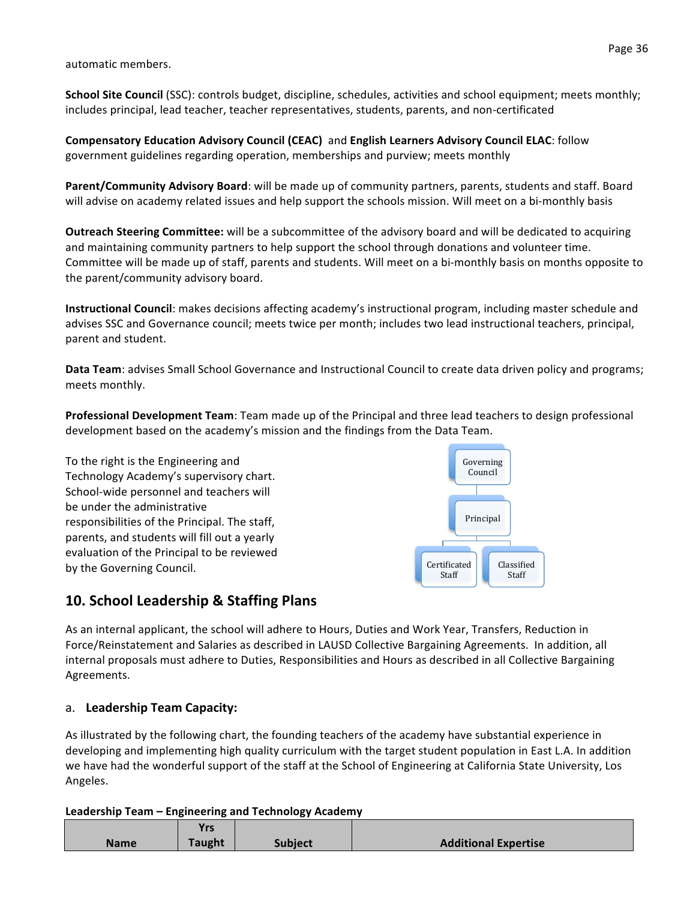automatic members.

**School Site Council** (SSC): controls budget, discipline, schedules, activities and school equipment; meets monthly; includes principal, lead teacher, teacher representatives, students, parents, and non-certificated

**Compensatory Education Advisory Council (CEAC)** and **English Learners Advisory Council ELAC**: follow government guidelines regarding operation, memberships and purview; meets monthly

Parent/Community Advisory Board: will be made up of community partners, parents, students and staff. Board will advise on academy related issues and help support the schools mission. Will meet on a bi-monthly basis

**Outreach Steering Committee:** will be a subcommittee of the advisory board and will be dedicated to acquiring and maintaining community partners to help support the school through donations and volunteer time. Committee will be made up of staff, parents and students. Will meet on a bi-monthly basis on months opposite to the parent/community advisory board.

**Instructional Council**: makes decisions affecting academy's instructional program, including master schedule and advises SSC and Governance council; meets twice per month; includes two lead instructional teachers, principal, parent and student.

**Data Team**: advises Small School Governance and Instructional Council to create data driven policy and programs; meets monthly.

**Professional Development Team**: Team made up of the Principal and three lead teachers to design professional development based on the academy's mission and the findings from the Data Team.

To the right is the Engineering and Technology Academy's supervisory chart. School-wide personnel and teachers will be under the administrative responsibilities of the Principal. The staff, parents, and students will fill out a yearly evaluation of the Principal to be reviewed by the Governing Council.



# **10. School Leadership & Staffing Plans**

As an internal applicant, the school will adhere to Hours, Duties and Work Year, Transfers, Reduction in Force/Reinstatement and Salaries as described in LAUSD Collective Bargaining Agreements. In addition, all internal proposals must adhere to Duties, Responsibilities and Hours as described in all Collective Bargaining Agreements.

# a. Leadership Team Capacity:

As illustrated by the following chart, the founding teachers of the academy have substantial experience in developing and implementing high quality curriculum with the target student population in East L.A. In addition we have had the wonderful support of the staff at the School of Engineering at California State University, Los Angeles.

|             | <b>Yrs</b> |                |                             |
|-------------|------------|----------------|-----------------------------|
| <b>Name</b> | Taught     | <b>Subject</b> | <b>Additional Expertise</b> |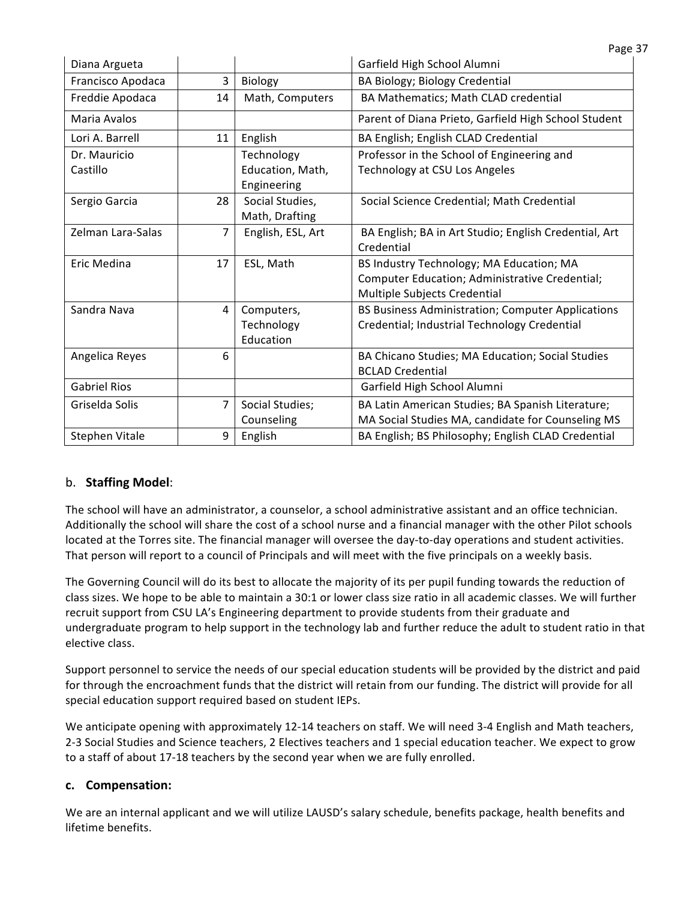| Diana Argueta       |    |                   | Garfield High School Alumni                           |
|---------------------|----|-------------------|-------------------------------------------------------|
| Francisco Apodaca   | 3  | Biology           | BA Biology; Biology Credential                        |
| Freddie Apodaca     | 14 | Math, Computers   | BA Mathematics; Math CLAD credential                  |
| Maria Avalos        |    |                   | Parent of Diana Prieto, Garfield High School Student  |
| Lori A. Barrell     | 11 | English           | BA English; English CLAD Credential                   |
| Dr. Mauricio        |    | Technology        | Professor in the School of Engineering and            |
| Castillo            |    | Education, Math,  | Technology at CSU Los Angeles                         |
|                     |    | Engineering       |                                                       |
| Sergio Garcia       | 28 | Social Studies,   | Social Science Credential; Math Credential            |
|                     |    | Math, Drafting    |                                                       |
| Zelman Lara-Salas   | 7  | English, ESL, Art | BA English; BA in Art Studio; English Credential, Art |
|                     |    |                   | Credential                                            |
| Eric Medina         | 17 | ESL, Math         | BS Industry Technology; MA Education; MA              |
|                     |    |                   | Computer Education; Administrative Credential;        |
|                     |    |                   | Multiple Subjects Credential                          |
| Sandra Nava         | 4  | Computers,        | BS Business Administration; Computer Applications     |
|                     |    | Technology        | Credential; Industrial Technology Credential          |
|                     |    | Education         |                                                       |
| Angelica Reyes      | 6  |                   | BA Chicano Studies; MA Education; Social Studies      |
|                     |    |                   | <b>BCLAD Credential</b>                               |
| <b>Gabriel Rios</b> |    |                   | Garfield High School Alumni                           |
| Griselda Solis      | 7  | Social Studies;   | BA Latin American Studies; BA Spanish Literature;     |
|                     |    | Counseling        | MA Social Studies MA, candidate for Counseling MS     |
| Stephen Vitale      | 9  | English           | BA English; BS Philosophy; English CLAD Credential    |

# b. **Staffing Model:**

The school will have an administrator, a counselor, a school administrative assistant and an office technician. Additionally the school will share the cost of a school nurse and a financial manager with the other Pilot schools located at the Torres site. The financial manager will oversee the day-to-day operations and student activities. That person will report to a council of Principals and will meet with the five principals on a weekly basis.

The Governing Council will do its best to allocate the majority of its per pupil funding towards the reduction of class sizes. We hope to be able to maintain a 30:1 or lower class size ratio in all academic classes. We will further recruit support from CSU LA's Engineering department to provide students from their graduate and undergraduate program to help support in the technology lab and further reduce the adult to student ratio in that elective class.

Support personnel to service the needs of our special education students will be provided by the district and paid for through the encroachment funds that the district will retain from our funding. The district will provide for all special education support required based on student IEPs.

We anticipate opening with approximately 12-14 teachers on staff. We will need 3-4 English and Math teachers, 2-3 Social Studies and Science teachers, 2 Electives teachers and 1 special education teacher. We expect to grow to a staff of about 17-18 teachers by the second year when we are fully enrolled.

# **c. Compensation:(**

We are an internal applicant and we will utilize LAUSD's salary schedule, benefits package, health benefits and lifetime benefits.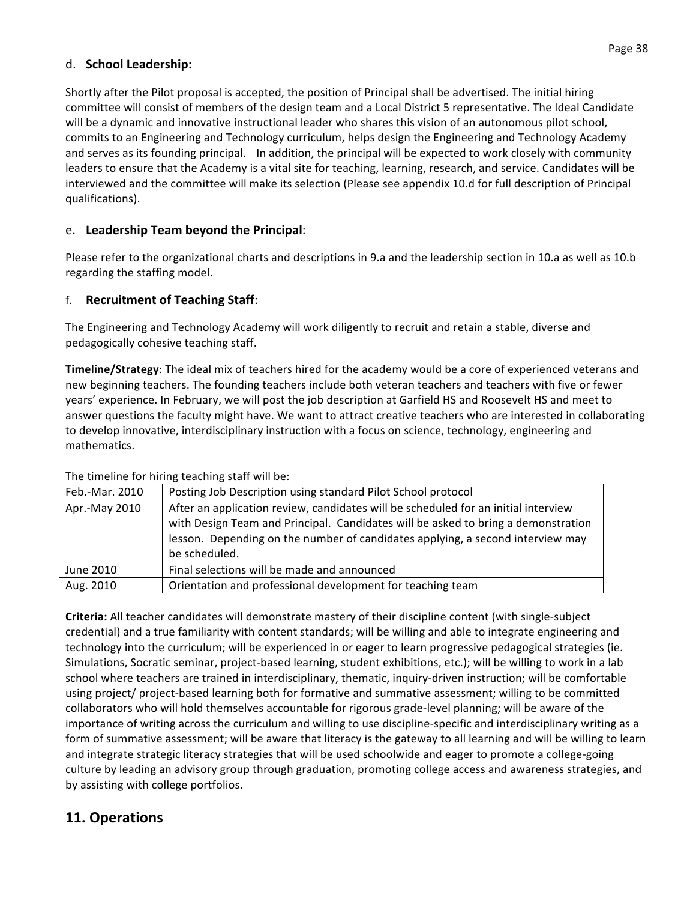## d. **School Leadership:**

Shortly after the Pilot proposal is accepted, the position of Principal shall be advertised. The initial hiring committee will consist of members of the design team and a Local District 5 representative. The Ideal Candidate will be a dynamic and innovative instructional leader who shares this vision of an autonomous pilot school, commits to an Engineering and Technology curriculum, helps design the Engineering and Technology Academy and serves as its founding principal. In addition, the principal will be expected to work closely with community leaders to ensure that the Academy is a vital site for teaching, learning, research, and service. Candidates will be interviewed and the committee will make its selection (Please see appendix 10.d for full description of Principal qualifications).

# e. Leadership Team beyond the Principal:

Please refer to the organizational charts and descriptions in 9.a and the leadership section in 10.a as well as 10.b regarding the staffing model.

## f. **Recruitment of Teaching Staff:**

The Engineering and Technology Academy will work diligently to recruit and retain a stable, diverse and pedagogically cohesive teaching staff.

**Timeline/Strategy**: The ideal mix of teachers hired for the academy would be a core of experienced veterans and new beginning teachers. The founding teachers include both veteran teachers and teachers with five or fewer years' experience. In February, we will post the job description at Garfield HS and Roosevelt HS and meet to answer questions the faculty might have. We want to attract creative teachers who are interested in collaborating to develop innovative, interdisciplinary instruction with a focus on science, technology, engineering and mathematics.

| Feb.-Mar. 2010 | Posting Job Description using standard Pilot School protocol                                                                                                                                                                                                               |
|----------------|----------------------------------------------------------------------------------------------------------------------------------------------------------------------------------------------------------------------------------------------------------------------------|
| Apr.-May 2010  | After an application review, candidates will be scheduled for an initial interview<br>with Design Team and Principal. Candidates will be asked to bring a demonstration<br>lesson. Depending on the number of candidates applying, a second interview may<br>be scheduled. |
|                |                                                                                                                                                                                                                                                                            |
| June 2010      | Final selections will be made and announced                                                                                                                                                                                                                                |
| Aug. 2010      | Orientation and professional development for teaching team                                                                                                                                                                                                                 |

The timeline for hiring teaching staff will be:

**Criteria:** All teacher candidates will demonstrate mastery of their discipline content (with single-subject credential) and a true familiarity with content standards; will be willing and able to integrate engineering and technology into the curriculum; will be experienced in or eager to learn progressive pedagogical strategies (ie. Simulations, Socratic seminar, project-based learning, student exhibitions, etc.); will be willing to work in a lab school where teachers are trained in interdisciplinary, thematic, inquiry-driven instruction; will be comfortable using project/ project-based learning both for formative and summative assessment; willing to be committed collaborators who will hold themselves accountable for rigorous grade-level planning; will be aware of the importance of writing across the curriculum and willing to use discipline-specific and interdisciplinary writing as a form of summative assessment; will be aware that literacy is the gateway to all learning and will be willing to learn and integrate strategic literacy strategies that will be used schoolwide and eager to promote a college-going culture by leading an advisory group through graduation, promoting college access and awareness strategies, and by assisting with college portfolios.

# 11. Operations